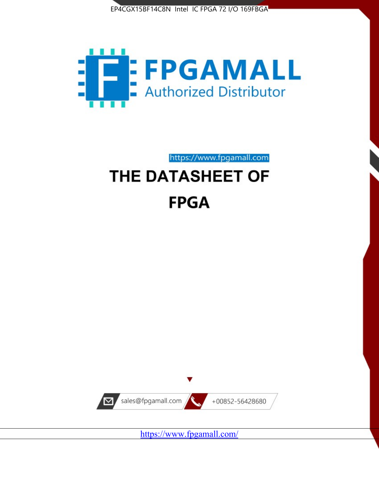



https://www.fpgamall.com

# THE DATASHEET OF **FPGA**



<https://www.fpgamall.com/>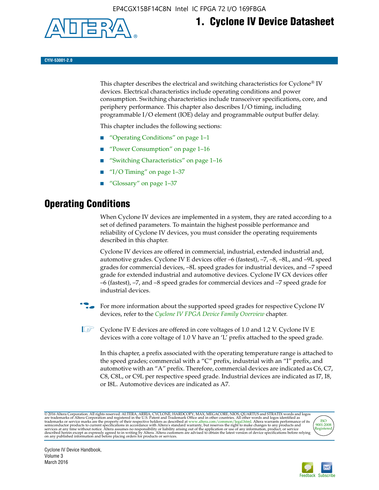

# **1. Cyclone IV Device Datasheet**

**CYIV-53001-2.0**

This chapter describes the electrical and switching characteristics for Cyclone<sup>®</sup> IV devices. Electrical characteristics include operating conditions and power consumption. Switching characteristics include transceiver specifications, core, and periphery performance. This chapter also describes I/O timing, including programmable I/O element (IOE) delay and programmable output buffer delay.

This chapter includes the following sections:

- "Operating Conditions" on page 1–1
- "Power Consumption" on page 1–16
- "Switching Characteristics" on page 1–16
- "I/O Timing" on page  $1-37$
- "Glossary" on page 1–37

# **Operating Conditions**

When Cyclone IV devices are implemented in a system, they are rated according to a set of defined parameters. To maintain the highest possible performance and reliability of Cyclone IV devices, you must consider the operating requirements described in this chapter.

Cyclone IV devices are offered in commercial, industrial, extended industrial and, automotive grades. Cyclone IV E devices offer –6 (fastest), –7, –8, –8L, and –9L speed grades for commercial devices, –8L speed grades for industrial devices, and –7 speed grade for extended industrial and automotive devices. Cyclone IV GX devices offer –6 (fastest), –7, and –8 speed grades for commercial devices and –7 speed grade for industrial devices.

**For more information about the supported speed grades for respective Cyclone IV** devices, refer to the *[Cyclone IV FPGA Device Family Overview](http://www.altera.com/literature/hb/cyclone-iv/cyiv-51001.pdf)* chapter.

**1** Cyclone IV E devices are offered in core voltages of 1.0 and 1.2 V. Cyclone IV E devices with a core voltage of 1.0 V have an 'L' prefix attached to the speed grade.

In this chapter, a prefix associated with the operating temperature range is attached to the speed grades; commercial with a "C" prefix, industrial with an "I" prefix, and automotive with an "A" prefix. Therefore, commercial devices are indicated as C6, C7, C8, C8L, or C9L per respective speed grade. Industrial devices are indicated as I7, I8, or I8L. Automotive devices are indicated as A7.

@2016 Altera Corporation. All rights reserved. ALTERA, ARRIA, CYCLONE, HARDCOPY, MAX, MEGACORE, NIOS, QUARTUS and STRATIX words and logos are trademarks of Altera Corporation and registered in the U.S. Patent and Trademark



Cyclone IV Device Handbook, Volume 3 March 2016

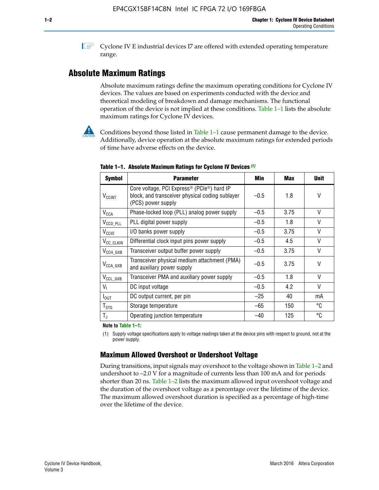**1 Cyclone IV E industrial devices I7 are offered with extended operating temperature** range.

# **Absolute Maximum Ratings**

Absolute maximum ratings define the maximum operating conditions for Cyclone IV devices. The values are based on experiments conducted with the device and theoretical modeling of breakdown and damage mechanisms. The functional operation of the device is not implied at these conditions. Table 1–1 lists the absolute maximum ratings for Cyclone IV devices.



Conditions beyond those listed in Table  $1-1$  cause permanent damage to the device. Additionally, device operation at the absolute maximum ratings for extended periods of time have adverse effects on the device.

| <b>Symbol</b>            | <b>Parameter</b>                                                                                                                | Min    | Max  | <b>Unit</b> |
|--------------------------|---------------------------------------------------------------------------------------------------------------------------------|--------|------|-------------|
| <b>V<sub>CCINT</sub></b> | Core voltage, PCI Express <sup>®</sup> (PCIe®) hard IP<br>block, and transceiver physical coding sublayer<br>(PCS) power supply | $-0.5$ | 1.8  | V           |
| $V_{CCA}$                | Phase-locked loop (PLL) analog power supply                                                                                     | $-0.5$ | 3.75 | $\vee$      |
| $V_{\text{CCD\_PLL}}$    | PLL digital power supply                                                                                                        | $-0.5$ | 1.8  | $\vee$      |
| V <sub>CCIO</sub>        | I/O banks power supply                                                                                                          | $-0.5$ | 3.75 | $\vee$      |
| V <sub>CC_CLKIN</sub>    | Differential clock input pins power supply                                                                                      | $-0.5$ | 4.5  | $\vee$      |
| $V_{\text{CCH_GXB}}$     | Transceiver output buffer power supply                                                                                          | $-0.5$ | 3.75 | V           |
| $V_{\text{CCA\_GXB}}$    | Transceiver physical medium attachment (PMA)<br>and auxiliary power supply                                                      | $-0.5$ | 3.75 | $\vee$      |
| $V_{CCL_GXB}$            | Transceiver PMA and auxiliary power supply                                                                                      | $-0.5$ | 1.8  | $\vee$      |
| $V_{1}$                  | DC input voltage                                                                                                                | $-0.5$ | 4.2  | $\vee$      |
| $I_{\text{OUT}}$         | DC output current, per pin                                                                                                      | $-25$  | 40   | mA          |
| $T_{\mathtt{STG}}$       | Storage temperature                                                                                                             | $-65$  | 150  | °C          |
| $T_{\rm J}$              | Operating junction temperature                                                                                                  | $-40$  | 125  | °C          |

**Table 1–1. Absolute Maximum Ratings for Cyclone IV Devices** *(1)*

**Note to Table 1–1:**

(1) Supply voltage specifications apply to voltage readings taken at the device pins with respect to ground, not at the power supply.

# **Maximum Allowed Overshoot or Undershoot Voltage**

During transitions, input signals may overshoot to the voltage shown in Table 1–2 and undershoot to –2.0 V for a magnitude of currents less than 100 mA and for periods shorter than 20 ns. Table 1–2 lists the maximum allowed input overshoot voltage and the duration of the overshoot voltage as a percentage over the lifetime of the device. The maximum allowed overshoot duration is specified as a percentage of high-time over the lifetime of the device.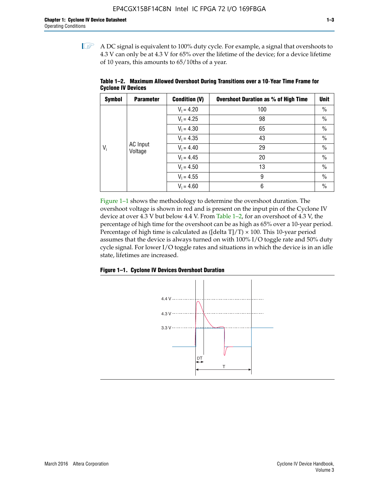$\mathbb{I}$  A DC signal is equivalent to 100% duty cycle. For example, a signal that overshoots to 4.3 V can only be at 4.3 V for 65% over the lifetime of the device; for a device lifetime of 10 years, this amounts to 65/10ths of a year.

| <b>Symbol</b> | <b>Parameter</b>    | <b>Condition (V)</b> | <b>Overshoot Duration as % of High Time</b> | <b>Unit</b>   |              |    |
|---------------|---------------------|----------------------|---------------------------------------------|---------------|--------------|----|
|               |                     | $V_1 = 4.20$         | 100                                         | $\%$          |              |    |
|               |                     | $V_1 = 4.25$         | 98                                          | $\%$          |              |    |
| $V_i$         | AC Input<br>Voltage | $V_1 = 4.30$         | 65                                          | $\%$          |              |    |
|               |                     | $V_1 = 4.35$         | 43                                          | $\frac{0}{0}$ |              |    |
|               |                     |                      |                                             |               | $V_1 = 4.40$ | 29 |
|               |                     | $V_1 = 4.45$         | 20                                          | $\%$          |              |    |
|               |                     | $V_1 = 4.50$         | 13                                          | $\%$          |              |    |
|               |                     | $V_1 = 4.55$         | 9                                           | $\%$          |              |    |
|               |                     | $V_1 = 4.60$         | 6                                           | $\%$          |              |    |

**Table 1–2. Maximum Allowed Overshoot During Transitions over a 10**-**Year Time Frame for Cyclone IV Devices**

Figure 1–1 shows the methodology to determine the overshoot duration. The overshoot voltage is shown in red and is present on the input pin of the Cyclone IV device at over 4.3 V but below 4.4 V. From Table 1–2, for an overshoot of 4.3 V, the percentage of high time for the overshoot can be as high as 65% over a 10-year period. Percentage of high time is calculated as ([delta  $T$ ]/T)  $\times$  100. This 10-year period assumes that the device is always turned on with 100% I/O toggle rate and 50% duty cycle signal. For lower I/O toggle rates and situations in which the device is in an idle state, lifetimes are increased.



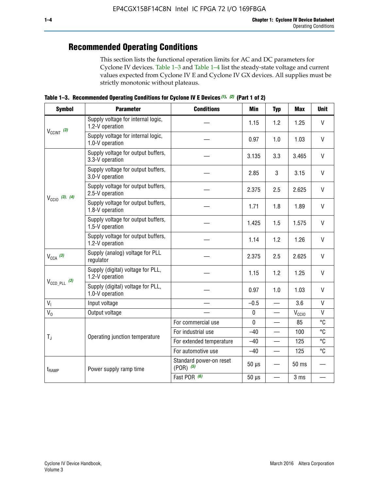# **Recommended Operating Conditions**

This section lists the functional operation limits for AC and DC parameters for Cyclone IV devices. Table 1–3 and Table 1–4 list the steady-state voltage and current values expected from Cyclone IV E and Cyclone IV GX devices. All supplies must be strictly monotonic without plateaus.

**Table 1–3. Recommended Operating Conditions for Cyclone IV E Devices** *(1)***,** *(2)* **(Part 1 of 2)**

| <b>Symbol</b>              | <b>Parameter</b>                                      | <b>Conditions</b>                      | <b>Min</b>  | <b>Typ</b>               | <b>Max</b>     | <b>Unit</b>  |
|----------------------------|-------------------------------------------------------|----------------------------------------|-------------|--------------------------|----------------|--------------|
|                            | Supply voltage for internal logic,<br>1.2-V operation |                                        | 1.15        | 1.2                      | 1.25           | $\mathsf{V}$ |
| $V_{CClNT}$ (3)            | Supply voltage for internal logic,<br>1.0-V operation |                                        | 0.97        | 1.0                      | 1.03           | $\mathsf{V}$ |
|                            | Supply voltage for output buffers,<br>3.3-V operation |                                        | 3.135       | 3.3                      | 3.465          | $\vee$       |
|                            | Supply voltage for output buffers,<br>3.0-V operation |                                        | 2.85        | 3                        | 3.15           | V            |
| $V_{\text{CC10}}$ (3), (4) | Supply voltage for output buffers,<br>2.5-V operation |                                        | 2.375       | 2.5                      | 2.625          | $\vee$       |
|                            | Supply voltage for output buffers,<br>1.8-V operation |                                        | 1.71        | 1.8                      | 1.89           | V            |
|                            | Supply voltage for output buffers,<br>1.5-V operation |                                        | 1.425       | 1.5                      | 1.575          | $\vee$       |
|                            | Supply voltage for output buffers,<br>1.2-V operation |                                        | 1.14        | 1.2                      | 1.26           | $\mathsf{V}$ |
| $V_{CCA}$ (3)              | Supply (analog) voltage for PLL<br>regulator          |                                        | 2.375       | 2.5                      | 2.625          | $\vee$       |
|                            | Supply (digital) voltage for PLL,<br>1.2-V operation  |                                        | 1.15        | 1.2                      | 1.25           | V            |
| $V_{\text{CCD\_PLL}}$ (3)  | Supply (digital) voltage for PLL,<br>1.0-V operation  |                                        | 0.97        | 1.0                      | 1.03           | $\vee$       |
| V <sub>1</sub>             | Input voltage                                         |                                        | $-0.5$      | $\overline{\phantom{0}}$ | 3.6            | $\mathsf{V}$ |
| $V_0$                      | Output voltage                                        |                                        | $\pmb{0}$   | —                        | $V_{\rm CClO}$ | $\mathsf{V}$ |
|                            |                                                       | For commercial use                     | $\mathbf 0$ |                          | 85             | °C           |
| $T_{\rm J}$                | Operating junction temperature                        | For industrial use                     | $-40$       |                          | 100            | °C           |
|                            |                                                       | For extended temperature               | $-40$       |                          | 125            | °C           |
|                            |                                                       | For automotive use                     | $-40$       |                          | 125            | °C           |
| $t_{\rm{RAMP}}$            | Power supply ramp time                                | Standard power-on reset<br>$(POR)$ (5) | $50 \mu s$  |                          | 50 ms          |              |
|                            |                                                       | Fast POR (6)                           | $50 \mu s$  | $\overline{\phantom{0}}$ | 3 ms           |              |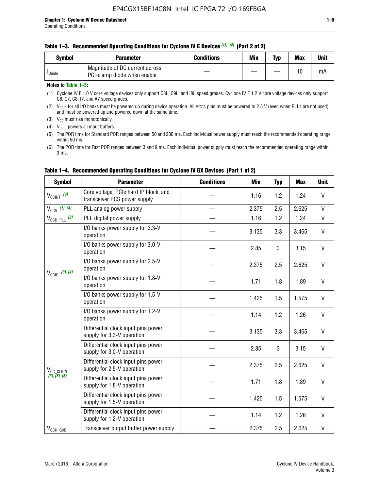#### **Table 1–3. Recommended Operating Conditions for Cyclone IV E Devices** *(1)***,** *(2)* **(Part 2 of 2)**

| Svmbol             | <b>Parameter</b>                                              | <b>Conditions</b> | Min | Typ | <b>Max</b> | Unit |
|--------------------|---------------------------------------------------------------|-------------------|-----|-----|------------|------|
| <sup>I</sup> Diode | Magnitude of DC current across<br>PCI-clamp diode when enable |                   |     | —   | 10         | mA   |

#### **Notes to Table 1–3:**

(1) Cyclone IV E 1.0 V core voltage devices only support C8L, C9L, and I8L speed grades. Cyclone IV E 1.2 V core voltage devices only support C6, C7, C8, I7, and A7 speed grades.

(2)  $V_{CCIO}$  for all I/O banks must be powered up during device operation. All vcca pins must be powered to 2.5 V (even when PLLs are not used) and must be powered up and powered down at the same time.

(3)  $V_{CC}$  must rise monotonically.

(4)  $V_{\text{CCIO}}$  powers all input buffers.

(5) The POR time for Standard POR ranges between 50 and 200 ms. Each individual power supply must reach the recommended operating range within 50 ms.

(6) The POR time for Fast POR ranges between 3 and 9 ms. Each individual power supply must reach the recommended operating range within 3 ms.

| <b>Symbol</b>              | <b>Parameter</b>                                                      | <b>Conditions</b> | Min   | <b>Typ</b> | <b>Max</b> | <b>Unit</b>  |
|----------------------------|-----------------------------------------------------------------------|-------------------|-------|------------|------------|--------------|
| $V_{\text{CCINT}}$ (3)     | Core voltage, PCIe hard IP block, and<br>transceiver PCS power supply |                   | 1.16  | 1.2        | 1.24       | V            |
| $V_{CCA}$ (1), (3)         | PLL analog power supply                                               |                   | 2.375 | 2.5        | 2.625      | V            |
| $V_{CCD\ PLL}$ (2)         | PLL digital power supply                                              |                   | 1.16  | 1.2        | 1.24       | V            |
|                            | I/O banks power supply for 3.3-V<br>operation                         |                   | 3.135 | 3.3        | 3.465      | V            |
| $V_{\text{CC10}}$ (3), (4) | I/O banks power supply for 3.0-V<br>operation                         |                   | 2.85  | 3          | 3.15       | V            |
|                            | I/O banks power supply for 2.5-V<br>operation                         |                   | 2.375 | 2.5        | 2.625      | V            |
|                            | I/O banks power supply for 1.8-V<br>operation                         |                   | 1.71  | 1.8        | 1.89       | V            |
|                            | I/O banks power supply for 1.5-V<br>operation                         |                   | 1.425 | 1.5        | 1.575      | V            |
|                            | I/O banks power supply for 1.2-V<br>operation                         |                   | 1.14  | 1.2        | 1.26       | V            |
|                            | Differential clock input pins power<br>supply for 3.3-V operation     |                   | 3.135 | 3.3        | 3.465      | V            |
|                            | Differential clock input pins power<br>supply for 3.0-V operation     |                   | 2.85  | 3          | 3.15       | $\mathsf{V}$ |
| V <sub>CC_CLKIN</sub>      | Differential clock input pins power<br>supply for 2.5-V operation     |                   | 2.375 | 2.5        | 2.625      | V            |
| (3), (5), (6)              | Differential clock input pins power<br>supply for 1.8-V operation     |                   | 1.71  | 1.8        | 1.89       | V            |
|                            | Differential clock input pins power<br>supply for 1.5-V operation     |                   | 1.425 | 1.5        | 1.575      | V            |
|                            | Differential clock input pins power<br>supply for 1.2-V operation     |                   | 1.14  | 1.2        | 1.26       | V            |
| $V_{\text{CCH_GXB}}$       | Transceiver output buffer power supply                                |                   | 2.375 | 2.5        | 2.625      | $\mathsf{V}$ |

#### **Table 1–4. Recommended Operating Conditions for Cyclone IV GX Devices (Part 1 of 2)**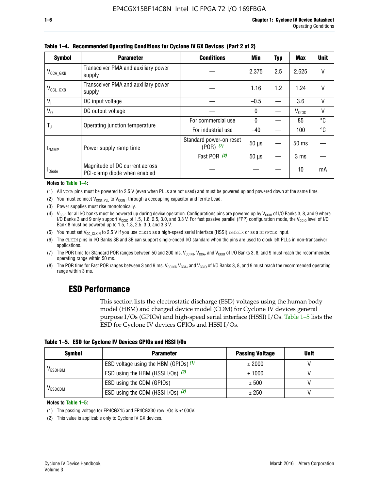| <b>Symbol</b>           | <b>Parameter</b>                                               | <b>Conditions</b>                        | Min          | Typ | Max               | <b>Unit</b> |
|-------------------------|----------------------------------------------------------------|------------------------------------------|--------------|-----|-------------------|-------------|
| $V_{\texttt{CCA\_GXB}}$ | Transceiver PMA and auxiliary power<br>supply                  |                                          | 2.375        | 2.5 | 2.625             | V           |
| $V_{CCL_GXB}$           | Transceiver PMA and auxiliary power<br>supply                  |                                          | 1.16         | 1.2 | 1.24              | V           |
| $V_{1}$                 | DC input voltage                                               |                                          | $-0.5$       |     | 3.6               | V           |
| $V_0$                   | DC output voltage                                              |                                          | $\Omega$     |     | V <sub>CCIO</sub> | ٧           |
|                         | Operating junction temperature                                 | For commercial use                       | $\mathbf{0}$ |     | 85                | °C          |
| $\mathsf{T}_\mathrm{J}$ |                                                                | For industrial use                       | $-40$        |     | 100               | °C          |
| t <sub>RAMP</sub>       | Power supply ramp time                                         | Standard power-on reset<br>$(POR)$ $(7)$ | $50 \mu s$   |     | $50 \text{ ms}$   |             |
|                         |                                                                | Fast POR (8)                             | $50 \mu s$   |     | 3 <sub>ms</sub>   |             |
| <b>I</b> Diode          | Magnitude of DC current across<br>PCI-clamp diode when enabled |                                          |              |     | 10                | mA          |

**Table 1–4. Recommended Operating Conditions for Cyclone IV GX Devices (Part 2 of 2)**

#### **Notes to Table 1–4:**

- (1) All VCCA pins must be powered to 2.5 V (even when PLLs are not used) and must be powered up and powered down at the same time.
- (2) You must connect  $V_{CCD-PLL}$  to  $V_{CCINT}$  through a decoupling capacitor and ferrite bead.
- (3) Power supplies must rise monotonically.
- (4)  $V_{\text{CCIO}}$  for all I/O banks must be powered up during device operation. Configurations pins are powered up by V<sub>CCIO</sub> of I/O Banks 3, 8, and 9 where I/O Banks 3 and 9 only support V<sub>CCIO</sub> of 1.5, 1.8, 2.5, 3.0, and 3.3 V. For fast passive parallel (FPP) configuration mode, the V<sub>CCIO</sub> level of I/O<br>Bank 8 must be powered up to 1.5, 1.8, 2.5, 3.0, and 3.3 V.
- (5) You must set  $V_{CC_CCLKIN}$  to 2.5 V if you use CLKIN as a high-speed serial interface (HSSI) refclk or as a DIFFCLK input.
- (6) The CLKIN pins in I/O Banks 3B and 8B can support single-ended I/O standard when the pins are used to clock left PLLs in non-transceiver applications.
- (7) The POR time for Standard POR ranges between 50 and 200 ms.  $V_{\text{CCIA}}$ ,  $V_{\text{CCIA}}$ , and  $V_{\text{CCIO}}$  of I/O Banks 3, 8, and 9 must reach the recommended operating range within 50 ms.
- (8) The POR time for Fast POR ranges between 3 and 9 ms.  $V_{\text{CCH},T}$ ,  $V_{\text{CCA}}$ , and  $V_{\text{CCI}}$  of I/O Banks 3, 8, and 9 must reach the recommended operating range within 3 ms.

# **ESD Performance**

This section lists the electrostatic discharge (ESD) voltages using the human body model (HBM) and charged device model (CDM) for Cyclone IV devices general purpose I/Os (GPIOs) and high-speed serial interface (HSSI) I/Os. Table 1–5 lists the ESD for Cyclone IV devices GPIOs and HSSI I/Os.

|  |  |  |  | Table 1–5. ESD for Cyclone IV Devices GPIOs and HSSI I/Os |  |
|--|--|--|--|-----------------------------------------------------------|--|
|--|--|--|--|-----------------------------------------------------------|--|

| <b>Symbol</b>  | <b>Parameter</b>                      | <b>Passing Voltage</b> | <b>Unit</b> |
|----------------|---------------------------------------|------------------------|-------------|
|                | ESD voltage using the HBM (GPIOs) (1) | ± 2000                 |             |
| <b>VESDHBM</b> | ESD using the HBM (HSSI I/Os) (2)     | ± 1000                 |             |
|                | ESD using the CDM (GPIOs)             | ± 500                  |             |
| <b>VESDCDM</b> | ESD using the CDM (HSSI I/Os) (2)     | ± 250                  |             |

#### **Notes to Table 1–5:**

(1) The passing voltage for EP4CGX15 and EP4CGX30 row I/Os is ±1000V.

(2) This value is applicable only to Cyclone IV GX devices.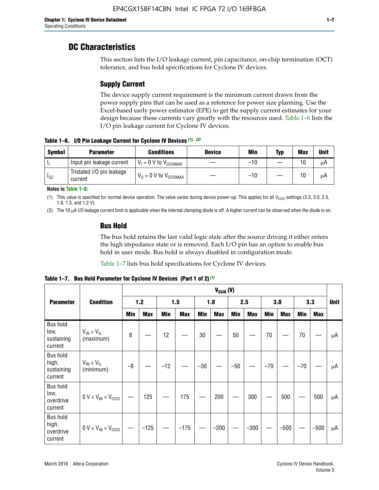# **DC Characteristics**

This section lists the I/O leakage current, pin capacitance, on-chip termination (OCT) tolerance, and bus hold specifications for Cyclone IV devices.

# **Supply Current**

The device supply current requirement is the minimum current drawn from the power supply pins that can be used as a reference for power size planning. Use the Excel-based early power estimator (EPE) to get the supply current estimates for your design because these currents vary greatly with the resources used. Table 1–6 lists the I/O pin leakage current for Cyclone IV devices.

**Table 1–6. I/O Pin Leakage Current for Cyclone IV Devices** *(1)***,** *(2)*

| <b>Symbol</b> | <b>Parameter</b>                     | <b>Conditions</b>                   | <b>Device</b> | Min   | Typ | <b>Max</b> | <b>Unit</b> |
|---------------|--------------------------------------|-------------------------------------|---------------|-------|-----|------------|-------------|
| -lı           | Input pin leakage current            | $V_1 = 0$ V to $V_{\text{CCIOMAX}}$ |               | $-10$ |     | 10         | μA          |
| $I_{0Z}$      | Tristated I/O pin leakage<br>current | $V_0 = 0$ V to $V_{\text{CCIOMAX}}$ |               | $-10$ |     | 10         | μA          |

**Notes to Table 1–6:**

(1) This value is specified for normal device operation. The value varies during device power-up. This applies for all V<sub>CCIO</sub> settings (3.3, 3.0, 2.5, 1.8, 1.5, and 1.2 V).

(2) The 10 µA I/O leakage current limit is applicable when the internal clamping diode is off. A higher current can be observed when the diode is on.

### **Bus Hold**

The bus hold retains the last valid logic state after the source driving it either enters the high impedance state or is removed. Each I/O pin has an option to enable bus hold in user mode. Bus hold is always disabled in configuration mode.

Table 1–7 lists bus hold specifications for Cyclone IV devices.

|                                                   |                                  | $V_{CClO}$ (V) |            |       |            |            |            |            |            |       |            |       |            |             |
|---------------------------------------------------|----------------------------------|----------------|------------|-------|------------|------------|------------|------------|------------|-------|------------|-------|------------|-------------|
| <b>Parameter</b>                                  | <b>Condition</b>                 | 1.2            |            | 1.5   |            | 1.8        |            | 2.5        |            | 3.0   |            | 3.3   |            | <b>Unit</b> |
|                                                   |                                  | <b>Min</b>     | <b>Max</b> | Min   | <b>Max</b> | <b>Min</b> | <b>Max</b> | <b>Min</b> | <b>Max</b> | Min   | <b>Max</b> | Min   | <b>Max</b> |             |
| <b>Bus hold</b><br>low,<br>sustaining<br>current  | $V_{IN}$ > $V_{IL}$<br>(maximum) | 8              |            | 12    |            | $30\,$     |            | 50         |            | 70    |            | 70    |            | μA          |
| <b>Bus hold</b><br>high,<br>sustaining<br>current | $V_{IN}$ < $V_{IL}$<br>(minimum) | $-8$           |            | $-12$ |            | $-30$      |            | $-50$      |            | $-70$ |            | $-70$ |            | μA          |
| <b>Bus hold</b><br>low,<br>overdrive<br>current   | $0 V < V_{IN} < V_{CG10}$        |                | 125        |       | 175        |            | 200        |            | 300        |       | 500        |       | 500        | μA          |
| <b>Bus hold</b><br>high,<br>overdrive<br>current  | $0 V < V_{IN} < V_{CG10}$        |                | $-125$     |       | $-175$     |            | $-200$     |            | $-300$     |       | $-500$     |       | $-500$     | μA          |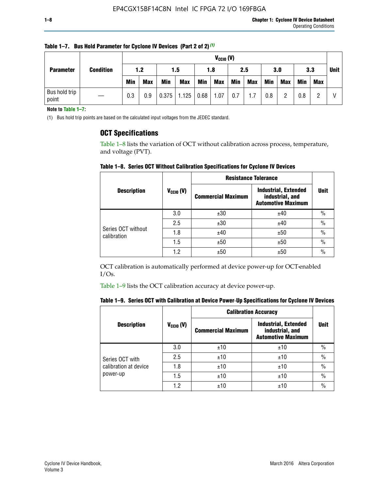| <b>Parameter</b>       |                  |            | $V_{CGI0} (V)$ |            |            |      |            |     |            |            |            |            |     |             |
|------------------------|------------------|------------|----------------|------------|------------|------|------------|-----|------------|------------|------------|------------|-----|-------------|
|                        | <b>Condition</b> | 1.2        |                | 1.5        |            | 1.8  |            | 2.5 |            | 3.0        |            | 3.3        |     | <b>Unit</b> |
|                        |                  | <b>Min</b> | <b>Max</b>     | <b>Min</b> | <b>Max</b> | Min  | <b>Max</b> | Min | <b>Max</b> | <b>Min</b> | <b>Max</b> | <b>Min</b> | Max |             |
| Bus hold trip<br>point |                  | 0.3        | 0.9            | 0.375      | 1.125      | 0.68 | 1.07       | 0.7 | 1.7        | 0.8        |            | 0.8        |     |             |

**Table 1–7. Bus Hold Parameter for Cyclone IV Devices (Part 2 of 2)** *(1)*

**Note to Table 1–7:**

(1) Bus hold trip points are based on the calculated input voltages from the JEDEC standard.

#### **OCT Specifications**

Table 1–8 lists the variation of OCT without calibration across process, temperature, and voltage (PVT).

**Table 1–8. Series OCT Without Calibration Specifications for Cyclone IV Devices**

|                                   |                      | <b>Resistance Tolerance</b> |                                                                             |               |
|-----------------------------------|----------------------|-----------------------------|-----------------------------------------------------------------------------|---------------|
| <b>Description</b>                | $V_{\text{CCIO}}(V)$ | <b>Commercial Maximum</b>   | <b>Industrial, Extended</b><br>industrial, and<br><b>Automotive Maximum</b> | <b>Unit</b>   |
|                                   | 3.0                  | ±30                         | ±40                                                                         | $\%$          |
|                                   | 2.5                  | ±30                         | ±40                                                                         | $\frac{0}{0}$ |
| Series OCT without<br>calibration | 1.8                  | ±40                         | ±50                                                                         | $\frac{0}{0}$ |
|                                   | 1.5                  | ±50                         | ±50                                                                         | $\frac{0}{0}$ |
|                                   | 1.2                  | ±50                         | ±50                                                                         | $\frac{0}{0}$ |

OCT calibration is automatically performed at device power-up for OCT-enabled I/Os.

Table 1–9 lists the OCT calibration accuracy at device power-up.

|  |  | Table 1–9.  Series OCT with Calibration at Device Power-Up Specifications for Cyclone IV Devices |  |  |  |  |  |  |
|--|--|--------------------------------------------------------------------------------------------------|--|--|--|--|--|--|
|--|--|--------------------------------------------------------------------------------------------------|--|--|--|--|--|--|

|                       |                |                           | <b>Calibration Accuracy</b>                                                 |               |
|-----------------------|----------------|---------------------------|-----------------------------------------------------------------------------|---------------|
| <b>Description</b>    | $V_{CGI0} (V)$ | <b>Commercial Maximum</b> | <b>Industrial, Extended</b><br>industrial, and<br><b>Automotive Maximum</b> | Unit          |
|                       | 3.0            | ±10                       | ±10                                                                         | $\%$          |
| Series OCT with       | 2.5            | ±10                       | ±10                                                                         | $\%$          |
| calibration at device | 1.8            | ±10                       | ±10                                                                         | $\frac{0}{0}$ |
| power-up              | 1.5            | ±10                       | ±10                                                                         | $\frac{0}{0}$ |
|                       | 1.2            | ±10                       | ±10                                                                         | $\frac{0}{0}$ |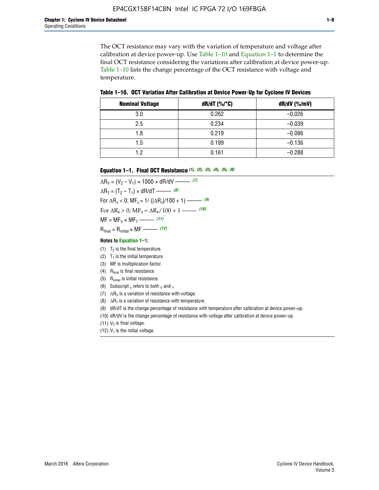The OCT resistance may vary with the variation of temperature and voltage after calibration at device power-up. Use Table 1–10 and Equation 1–1 to determine the final OCT resistance considering the variations after calibration at device power-up. Table 1–10 lists the change percentage of the OCT resistance with voltage and temperature.

**Table 1–10. OCT Variation After Calibration at Device Power**-**Up for Cyclone IV Devices**

| <b>Nominal Voltage</b> | dR/dT (%/°C) | $dR/dV$ (%/mV) |
|------------------------|--------------|----------------|
| 3.0                    | 0.262        | $-0.026$       |
| 2.5                    | 0.234        | $-0.039$       |
| 1.8                    | 0.219        | $-0.086$       |
| 1.5                    | 0.199        | $-0.136$       |
| 1.2                    | 0.161        | $-0.288$       |

#### **Equation 1–1. Final OCT Resistance** *(1)***,** *(2)***,** *(3)***,** *(4)***,** *(5)***,** *(6)*

 $\Delta R_V = (V_2 - V_1) \times 1000 \times dR/dV$  ––––––––––––(7)  $\Delta R_T = (T_2 - T_1) \times dR/dT$  ––––––– (8) For  $\Delta R_x < 0$ ; MF<sub>x</sub> = 1/ ( $|\Delta R_x|/100 + 1$ ) –––––– (9) For  $\Delta R_x > 0$ ;  $\text{MF}_x = \Delta R_x / 100 + 1$  ——– (10)  $MF = MF_V \times MF_T$  –––––––––––(11) Rfinal = Rinitial × MF ––––– *(12)*

#### **Notes to Equation 1–1:**

- (1)  $T_2$  is the final temperature.
- (2)  $T_1$  is the initial temperature.
- (3) MF is multiplication factor.
- (4)  $R<sub>final</sub>$  is final resistance.
- (5) Rinitial is initial resistance.
- (6) Subscript x refers to both  $\sqrt{v}$  and  $\sqrt{v}$ .
- (7)  $\Delta R_V$  is a variation of resistance with voltage.
- (8)  $\Delta R_T$  is a variation of resistance with temperature.
- (9) dR/dT is the change percentage of resistance with temperature after calibration at device power-up.
- (10) dR/dV is the change percentage of resistance with voltage after calibration at device power-up.
- (11)  $V_2$  is final voltage.
- (12)  $V_1$  is the initial voltage.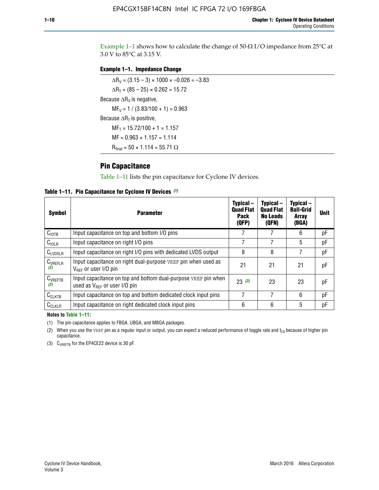Example 1-1 shows how to calculate the change of  $50$ - $\Omega$  I/O impedance from 25°C at 3.0 V to 85°C at 3.15 V.

#### **Example 1–1. Impedance Change**

 $\Delta R_V = (3.15 - 3) \times 1000 \times -0.026 = -3.83$  $\Delta R_T = (85 - 25) \times 0.262 = 15.72$ Because  $\Delta R_V$  is negative,  $MF_V = 1 / (3.83/100 + 1) = 0.963$ Because  $\Delta R_T$  is positive,  $MF_T = 15.72/100 + 1 = 1.157$  $MF = 0.963 \times 1.157 = 1.114$  $R_{final} = 50 \times 1.114 = 55.71 \Omega$ 

### **Pin Capacitance**

Table 1–11 lists the pin capacitance for Cyclone IV devices.

**Table 1–11. Pin Capacitance for Cyclone IV Devices** *(1)*

| <b>Symbol</b>       | <b>Parameter</b>                                                                                    | Typical-<br><b>Quad Flat</b><br>Pack<br>(QFP) | Typical-<br><b>Quad Flat</b><br><b>No Leads</b><br>(QFN) | Typical-<br><b>Ball-Grid</b><br>Array<br>(BGA) | <b>Unit</b> |
|---------------------|-----------------------------------------------------------------------------------------------------|-----------------------------------------------|----------------------------------------------------------|------------------------------------------------|-------------|
| C <sub>IOTB</sub>   | Input capacitance on top and bottom I/O pins                                                        |                                               |                                                          | 6                                              | рF          |
| $C_{IOLR}$          | Input capacitance on right I/O pins                                                                 |                                               |                                                          | 5                                              | рF          |
| $C_{LVDSLR}$        | Input capacitance on right I/O pins with dedicated LVDS output                                      | 8                                             | 8                                                        | 7                                              | рF          |
| $C_{VREFLR}$<br>(2) | Input capacitance on right dual-purpose VREF pin when used as<br>$V_{BFF}$ or user I/O pin          | 21                                            | 21                                                       | 21                                             | pF          |
| $C_{VREFTB}$<br>(2) | Input capacitance on top and bottom dual-purpose VREF pin when<br>used as $V_{BFF}$ or user I/O pin | 23(3)                                         | 23                                                       | 23                                             | рF          |
| $C_{CLKTB}$         | Input capacitance on top and bottom dedicated clock input pins                                      |                                               | 7                                                        | 6                                              | рF          |
| $C_{CLKLR}$         | Input capacitance on right dedicated clock input pins                                               | 6                                             | 6                                                        | 5                                              | рF          |

#### **Notes to Table 1–11:**

(1) The pin capacitance applies to FBGA, UBGA, and MBGA packages.

(2) When you use the VREF pin as a regular input or output, you can expect a reduced performance of toggle rate and  $t_{\rm CO}$  because of higher pin capacitance.

(3) CVREFTB for the EP4CE22 device is 30 pF.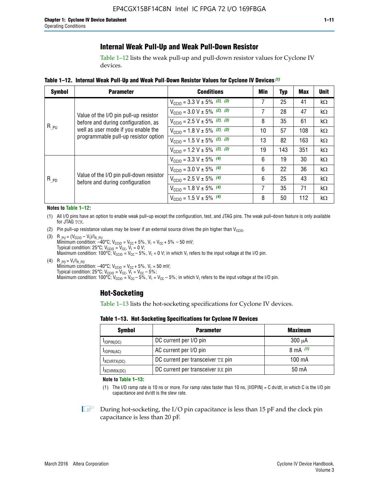# **Internal Weak Pull-Up and Weak Pull-Down Resistor**

Table 1–12 lists the weak pull-up and pull-down resistor values for Cyclone IV devices.

**Table 1–12. Internal Weak Pull**-**Up and Weak Pull**-**Down Resistor Values for Cyclone IV Devices** *(1)*

| <b>Symbol</b> | <b>Parameter</b>                                                            | <b>Conditions</b>                                  | Min | <b>Typ</b> | <b>Max</b> | <b>Unit</b> |
|---------------|-----------------------------------------------------------------------------|----------------------------------------------------|-----|------------|------------|-------------|
|               |                                                                             | $V_{\text{CC10}} = 3.3 \text{ V} \pm 5\%$ (2), (3) | 7   | 25         | 41         | $k\Omega$   |
|               | Value of the I/O pin pull-up resistor                                       | $V_{\text{CC10}} = 3.0 \text{ V} \pm 5\%$ (2), (3) | 7   | 28         | 47         | kΩ          |
|               | before and during configuration, as                                         | $V_{\text{CC10}} = 2.5 V \pm 5\%$ (2), (3)         | 8   | 35         | 61         | kΩ          |
| $R_{PU}$      | well as user mode if you enable the<br>programmable pull-up resistor option | $V_{\text{CGI0}} = 1.8 V \pm 5\%$ (2), (3)         | 10  | 57         | 108        | $k\Omega$   |
|               |                                                                             | $V_{\text{CC10}} = 1.5 V \pm 5\%$ (2), (3)         | 13  | 82         | 163        | $k\Omega$   |
|               |                                                                             | $V_{\text{CC10}} = 1.2 V \pm 5\%$ (2), (3)         | 19  | 143        | 351        | kΩ          |
|               |                                                                             | $V_{\text{CC10}} = 3.3 V \pm 5\%$ (4)              | 6   | 19         | 30         | kΩ          |
|               |                                                                             | $V_{\text{CC10}} = 3.0 V \pm 5\%$ (4)              | 6   | 22         | 36         | $k\Omega$   |
| $R_{PD}$      | Value of the I/O pin pull-down resistor<br>before and during configuration  | $V_{\text{CC10}} = 2.5 V \pm 5\%$ (4)              | 6   | 25         | 43         | kΩ          |
|               |                                                                             | $V_{\text{CC10}} = 1.8 V \pm 5\%$ (4)              | 7   | 35         | 71         | $k\Omega$   |
|               |                                                                             | $V_{\text{CC10}} = 1.5 V \pm 5\%$ (4)              | 8   | 50         | 112        | kΩ          |

#### **Notes to Table 1–12:**

- (1) All I/O pins have an option to enable weak pull-up except the configuration, test, and JTAG pins. The weak pull-down feature is only available for JTAG TCK.
- (2) Pin pull-up resistance values may be lower if an external source drives the pin higher than  $V_{\text{CCIO}}$ .
- (3)  $R_{PU} = (V_{CC10} V_1)/I_{R_PU}$ Minimum condition: –40°C; V<sub>CCIO</sub> = V<sub>CC</sub> + 5%, V<sub>I</sub> = V<sub>CC</sub> + 5% – 50 mV; Typical condition: 25°C; V<sub>CCIO</sub> = V<sub>CC</sub>, V<sub>I</sub> = 0 V; Maximum condition: 100°C;  $V_{\text{CCIO}} = V_{\text{CC}} - 5\%$ ,  $V_1 = 0$  V; in which V<sub>I</sub> refers to the input voltage at the I/O pin.
- (4)  $R_{PD} = V_I/I_{R_PD}$ Minimum condition:  $-40^{\circ}$ C; V<sub>CCIO</sub> = V<sub>CC</sub> + 5%, V<sub>I</sub> = 50 mV; Typical condition: 25°C;  $V_{\text{CCIO}} = V_{\text{CC}}$ ,  $V_{\text{I}} = V_{\text{CC}} - 5\%$ ; Maximum condition: 100°C; V<sub>CClO</sub> = V<sub>CC</sub> – 5%, V<sub>I</sub> = V<sub>CC</sub> – 5%; in which V<sub>I</sub> refers to the input voltage at the I/O pin.

### **Hot-Socketing**

Table 1–13 lists the hot-socketing specifications for Cyclone IV devices.

**Table 1–13. Hot**-**Socketing Specifications for Cyclone IV Devices**

| Symbol          | <b>Parameter</b>                  | <b>Maximum</b> |
|-----------------|-----------------------------------|----------------|
| $I$ IOPIN(DC)   | DC current per I/O pin            | $300 \mu A$    |
| $I_{IOPIN(AC)}$ | AC current per I/O pin            | 8 mA $(1)$     |
| IXCVRTX(DC)     | DC current per transceiver TX pin | 100 mA         |
| IXCVRRX(DC)     | DC current per transceiver RX pin | 50 mA          |

**Note to Table 1–13:**

(1) The I/O ramp rate is 10 ns or more. For ramp rates faster than 10 ns, |IIOPIN| = C dv/dt, in which C is the I/O pin capacitance and dv/dt is the slew rate.

 $\mathbb{I} \rightarrow \mathbb{I}$  During hot-socketing, the I/O pin capacitance is less than 15 pF and the clock pin capacitance is less than 20 pF.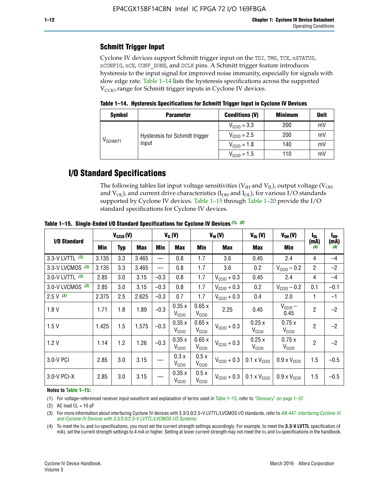# **Schmitt Trigger Input**

Cyclone IV devices support Schmitt trigger input on the TDI, TMS, TCK, nSTATUS, nCONFIG, nCE, CONF\_DONE, and DCLK pins. A Schmitt trigger feature introduces hysteresis to the input signal for improved noise immunity, especially for signals with slow edge rate. Table 1–14 lists the hysteresis specifications across the supported  $V<sub>CCIO</sub>$  range for Schmitt trigger inputs in Cyclone IV devices.

**Table 1–14. Hysteresis Specifications for Schmitt Trigger Input in Cyclone IV Devices**

| <b>Symbol</b>                  | <b>Parameter</b>               | <b>Conditions (V)</b>   | <b>Minimum</b> | <b>Unit</b> |
|--------------------------------|--------------------------------|-------------------------|----------------|-------------|
|                                |                                | $V_{\text{CGI0}} = 3.3$ | 200            | mV          |
|                                | Hysteresis for Schmitt trigger | $V_{\text{CGI0}} = 2.5$ | 200            | mV          |
| $\mathsf{V}_{\mathsf{SCHMIT}}$ | input                          | $V_{\text{CCIO}} = 1.8$ | 140            | mV          |
|                                |                                | $V_{\text{CC10}} = 1.5$ | 110            | mV          |

# **I/O Standard Specifications**

The following tables list input voltage sensitivities ( $V<sub>IH</sub>$  and  $V<sub>II</sub>$ ), output voltage ( $V<sub>OH</sub>$ and  $V_{OL}$ ), and current drive characteristics ( $I_{OH}$  and  $I_{OL}$ ), for various I/O standards supported by Cyclone IV devices. Table 1–15 through Table 1–20 provide the I/O standard specifications for Cyclone IV devices.

|                   | $V_{CClO}(V)$ |     |            | $V_{IL}(V)$<br>$V_{IH} (V)$ |                            | $V_{OL}(V)$                | $V_{OH} (V)$            | l <sub>OL</sub>              | l <sub>oh</sub>              |                |             |
|-------------------|---------------|-----|------------|-----------------------------|----------------------------|----------------------------|-------------------------|------------------------------|------------------------------|----------------|-------------|
| I/O Standard      | Min           | Typ | <b>Max</b> | Min                         | <b>Max</b>                 | Min                        | <b>Max</b>              | Max                          | Min                          | (mA)<br>(4)    | (mA)<br>(4) |
| 3.3-V LVTTL (3)   | 3.135         | 3.3 | 3.465      |                             | 0.8                        | 1.7                        | 3.6                     | 0.45                         | 2.4                          | 4              | $-4$        |
| 3.3-V LVCMOS (3)  | 3.135         | 3.3 | 3.465      |                             | 0.8                        | 1.7                        | 3.6                     | 0.2                          | $V_{\text{CCIO}} - 0.2$      | $\overline{2}$ | $-2$        |
| 3.0-V LVTTL $(3)$ | 2.85          | 3.0 | 3.15       | $-0.3$                      | 0.8                        | 1.7                        | $V_{\text{CC10}} + 0.3$ | 0.45                         | 2.4                          | 4              | $-4$        |
| 3.0-V LVCMOS (3)  | 2.85          | 3.0 | 3.15       | $-0.3$                      | 0.8                        | 1.7                        | $V_{\text{CCI}0}$ + 0.3 | 0.2                          | $V_{\text{CC10}} - 0.2$      | 0.1            | $-0.1$      |
| $2.5 V$ (3)       | 2.375         | 2.5 | 2.625      | $-0.3$                      | 0.7                        | 1.7                        | $V_{\text{CCI}0}$ + 0.3 | 0.4                          | 2.0                          | 1              | $-1$        |
| 1.8V              | 1.71          | 1.8 | 1.89       | $-0.3$                      | 0.35x<br>V <sub>CCIO</sub> | 0.65x<br>V <sub>CCIO</sub> | 2.25                    | 0.45                         | $V_{CGIO}$ –<br>0.45         | $\overline{c}$ | $-2$        |
| 1.5V              | 1.425         | 1.5 | 1.575      | $-0.3$                      | 0.35x<br>V <sub>CCIO</sub> | 0.65x<br>V <sub>CCIO</sub> | $V_{\text{CC10}} + 0.3$ | 0.25x<br>$V_{\rm CClO}$      | 0.75x<br>V <sub>CCIO</sub>   | $\overline{2}$ | $-2$        |
| 1.2V              | 1.14          | 1.2 | 1.26       | $-0.3$                      | 0.35x<br>V <sub>CCIO</sub> | 0.65x<br>V <sub>CCIO</sub> | $V_{\text{CGI0}} + 0.3$ | 0.25x<br>$V_{\rm CClO}$      | 0.75x<br>V <sub>CCIO</sub>   | $\overline{2}$ | $-2$        |
| 3.0-V PCI         | 2.85          | 3.0 | 3.15       |                             | 0.3x<br>V <sub>CCIO</sub>  | 0.5x<br>V <sub>CCIO</sub>  | $V_{\text{CC10}} + 0.3$ | $0.1 \times V_{CC10}$        | $0.9 \times V_{\text{CC10}}$ | 1.5            | $-0.5$      |
| 3.0-V PCI-X       | 2.85          | 3.0 | 3.15       |                             | 0.35x<br>V <sub>CCIO</sub> | 0.5x<br>V <sub>CCIO</sub>  | $V_{\text{CC}10} + 0.3$ | $0.1 \times V_{\text{CC10}}$ | $0.9 \times V_{\text{CC10}}$ | 1.5            | $-0.5$      |

**Table 1–15. Single**-**Ended I/O Standard Specifications for Cyclone IV Devices** *(1)***,** *(2)*

#### **Notes to Table 1–15:**

(1) For voltage-referenced receiver input waveform and explanation of terms used in Table 1–15, refer to "Glossary" on page 1–37.

(2) AC load  $CL = 10$  pF

(3) For more information about interfacing Cyclone IV devices with 3.3/3.0/2.5-V LVTTL/LVCMOS I/O standards, refer to *[AN 447: Interfacing Cyclone III](http://www.altera.com/literature/an/an447.pdf)  [and Cyclone IV Devices with 3.3/3.0/2.5-V LVTTL/LVCMOS I/O Systems](http://www.altera.com/literature/an/an447.pdf)*.

(4) To meet the IOL and IOH specifications, you must set the current strength settings accordingly. For example, to meet the **3.3-V LVTTL** specification (4 mA), set the current strength settings to 4 mA or higher. Setting at lower current strength may not meet the lou and lon specifications in the handbook.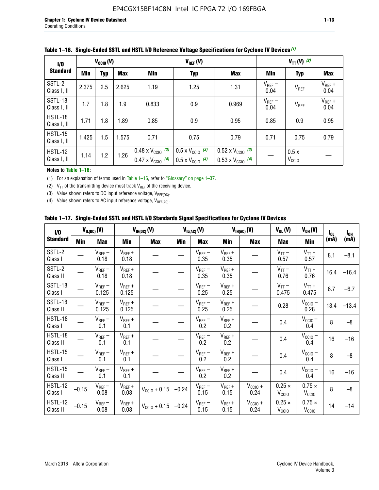| 1/0                    | $V_{CGI0}(V)$ |            |            | $V_{REF}(V)$                                                           |                                                                      |                                                                        | $V_{TT} (V)$ (2)    |                           |                     |  |
|------------------------|---------------|------------|------------|------------------------------------------------------------------------|----------------------------------------------------------------------|------------------------------------------------------------------------|---------------------|---------------------------|---------------------|--|
| <b>Standard</b>        | Min           | <b>Typ</b> | <b>Max</b> | Min                                                                    | <b>Typ</b>                                                           | <b>Max</b>                                                             | Min                 | <b>Typ</b>                | <b>Max</b>          |  |
| SSTL-2<br>Class I, II  | 2.375         | 2.5        | 2.625      | 1.19                                                                   | 1.25                                                                 | 1.31                                                                   | $V_{REF}$ –<br>0.04 | V <sub>REF</sub>          | $V_{REF}$ +<br>0.04 |  |
| SSTL-18<br>Class I, II | 1.7           | 1.8        | 1.9        | 0.833                                                                  | 0.9                                                                  | 0.969                                                                  | $V_{REF}$ –<br>0.04 | V <sub>REF</sub>          | $V_{REF}$ +<br>0.04 |  |
| HSTL-18<br>Class I, II | 1.71          | 1.8        | .89        | 0.85                                                                   | 0.9                                                                  | 0.95                                                                   | 0.85                | 0.9                       | 0.95                |  |
| HSTL-15<br>Class I, II | 1.425         | 1.5        | 1.575      | 0.71                                                                   | 0.75                                                                 | 0.79                                                                   | 0.71                | 0.75                      | 0.79                |  |
| HSTL-12<br>Class I, II | 1.14          | 1.2        | 1.26       | $0.48 \times V_{\text{CC10}}$ (3)<br>$0.47 \times V_{\text{CC10}}$ (4) | $0.5 \times V_{\text{CC10}}$ (3)<br>$0.5 \times V_{\text{CC10}}$ (4) | $0.52 \times V_{\text{CC10}}$ (3)<br>$0.53 \times V_{\text{CC10}}$ (4) |                     | 0.5x<br>V <sub>CCIO</sub> |                     |  |

|  |  |  |  | Table 1–16. Single-Ended SSTL and HSTL I/O Reference Voltage Specifications for Cyclone IV Devices (1) |
|--|--|--|--|--------------------------------------------------------------------------------------------------------|
|--|--|--|--|--------------------------------------------------------------------------------------------------------|

**Notes to Table 1–16:**

(1) For an explanation of terms used in Table 1–16, refer to "Glossary" on page 1–37.

(2)  $V_{TT}$  of the transmitting device must track  $V_{REF}$  of the receiving device.

(3) Value shown refers to DC input reference voltage,  $V_{REF(DC)}$ .

(4) Value shown refers to AC input reference voltage,  $V_{REF(AC)}$ .

|  | Table 1–17.  Single-Ended SSTL and HSTL I/O Standards Signal Specifications for Cyclone IV Devices |  |  |  |  |  |
|--|----------------------------------------------------------------------------------------------------|--|--|--|--|--|
|--|----------------------------------------------------------------------------------------------------|--|--|--|--|--|

| $\mathbf{I}/\mathbf{0}$    |            | $V_{IL(DC)}(V)$      |                      | $V_{IH(DC)}(V)$   |         | $V_{IL(AC)}(V)$     |                     | $V_{IH(AC)}(V)$      | $V_{OL}(V)$                        | $V_{OH} (V)$                       | $I_{0L}$ | $I_{0H}$ |
|----------------------------|------------|----------------------|----------------------|-------------------|---------|---------------------|---------------------|----------------------|------------------------------------|------------------------------------|----------|----------|
| <b>Standard</b>            | <b>Min</b> | <b>Max</b>           | <b>Min</b>           | <b>Max</b>        | Min     | <b>Max</b>          | Min                 | <b>Max</b>           | <b>Max</b>                         | Min                                | (mA)     | (mA)     |
| SSTL-2<br>Class I          |            | $V_{REF}$ –<br>0.18  | $V_{REF} +$<br>0.18  |                   |         | $V_{REF}$ –<br>0.35 | $V_{REF} +$<br>0.35 |                      | $V_{TT}$ –<br>0.57                 | $V_{TT}$ +<br>0.57                 | 8.1      | $-8.1$   |
| SSTL-2<br>Class II         |            | $V_{REF}$ –<br>0.18  | $V_{REF} +$<br>0.18  |                   |         | $V_{REF}$ –<br>0.35 | $V_{REF} +$<br>0.35 |                      | $V_{TT}$ –<br>0.76                 | $V_{TT}$ +<br>0.76                 | 16.4     | $-16.4$  |
| SSTL-18<br>Class I         |            | $V_{REF}-$<br>0.125  | $V_{REF}$ +<br>0.125 |                   |         | $V_{REF}$ –<br>0.25 | $V_{REF}$ +<br>0.25 |                      | $V_{TT}$ –<br>0.475                | $V_{TT}$ +<br>0.475                | 6.7      | $-6.7$   |
| SSTL-18<br>Class II        |            | $V_{REF}$ –<br>0.125 | $V_{REF}$ +<br>0.125 |                   |         | $V_{REF}$ –<br>0.25 | $V_{REF}$ +<br>0.25 |                      | 0.28                               | $V_{CC10}$ –<br>0.28               | 13.4     | $-13.4$  |
| <b>HSTL-18</b><br>Class I  |            | $V_{REF}$ –<br>0.1   | $V_{REF}$ +<br>0.1   |                   |         | $V_{REF}$ –<br>0.2  | $V_{REF}$ +<br>0.2  |                      | 0.4                                | $V_{CCIO}$ –<br>0.4                | 8        | $-8$     |
| HSTL-18<br>Class II        |            | $V_{REF}$ –<br>0.1   | $V_{REF}$ +<br>0.1   |                   |         | $V_{REF}$ –<br>0.2  | $V_{REF}$ +<br>0.2  |                      | 0.4                                | $V_{CC10} -$<br>0.4                | 16       | $-16$    |
| HSTL-15<br>Class I         |            | $V_{REF}$ –<br>0.1   | $V_{REF}$ +<br>0.1   |                   |         | $V_{REF}$ –<br>0.2  | $V_{REF}$ +<br>0.2  |                      | 0.4                                | $V_{CC10}$ –<br>0.4                | 8        | $-8$     |
| HSTL-15<br>Class II        |            | $V_{REF}$ –<br>0.1   | $V_{REF}$ +<br>0.1   |                   |         | $V_{REF}$ –<br>0.2  | $V_{REF} +$<br>0.2  |                      | 0.4                                | $V_{\text{CCIO}} -$<br>0.4         | 16       | $-16$    |
| <b>HSTL-12</b><br>Class I  | $-0.15$    | $V_{REF}$ –<br>0.08  | $V_{REF} +$<br>0.08  | $V_{CGI0} + 0.15$ | $-0.24$ | $V_{REF}$ –<br>0.15 | $V_{REF} +$<br>0.15 | $V_{CClO}$ +<br>0.24 | $0.25 \times$<br>V <sub>CCIO</sub> | $0.75 \times$<br>V <sub>CCIO</sub> | 8        | $-8$     |
| <b>HSTL-12</b><br>Class II | $-0.15$    | $V_{REF}-$<br>0.08   | $V_{REF} +$<br>0.08  | $V_{CGI0} + 0.15$ | $-0.24$ | $V_{REF}$ –<br>0.15 | $V_{REF} +$<br>0.15 | $V_{CCIO}$ +<br>0.24 | $0.25 \times$<br>V <sub>CCIO</sub> | $0.75 \times$<br>V <sub>CCIO</sub> | 14       | $-14$    |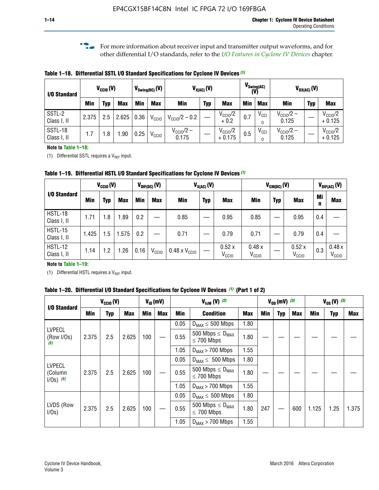**f For more information about receiver input and transmitter output waveforms, and for** other differential I/O standards, refer to the *[I/O Features in Cyclone IV Devices](http://www.altera.com/literature/hb/cyclone-iv/cyiv-51006.pdf)* chapter*.*

**Table 1–18. Differential SSTL I/O Standard Specifications for Cyclone IV Devices** *(1)*

| I/O Standard           |       | $V_{\text{CCIO}}(V)$ |            |      | $V_{\text{Swing(DC)}}(V)$ | $V_{X(AC)}(V)$            |            | $V_{\text{Swing}(AC)}$<br>(V)   |     | $V_{OX(AC)}(V)$              |                                |            |                                 |
|------------------------|-------|----------------------|------------|------|---------------------------|---------------------------|------------|---------------------------------|-----|------------------------------|--------------------------------|------------|---------------------------------|
|                        | Min   | Typ                  | <b>Max</b> | Min  | <b>Max</b>                | <b>Min</b>                | <b>Typ</b> | <b>Max</b>                      | Min | <b>Max</b>                   | Min                            | <b>Typ</b> | <b>Max</b>                      |
| SSTL-2<br>Class I, II  | 2.375 | 2.5                  | 2.625      | 0.36 | V <sub>CCIO</sub>         | $V_{\text{CC10}}/2 - 0.2$ |            | $V_{\text{CC10}}/2$<br>$+0.2$   | 0.7 | $V_{\text{CCI}}$<br>$\Omega$ | $V_{\text{CC10}}/2 -$<br>0.125 |            | $V_{\text{CC10}}/2$<br>$+0.125$ |
| SSTL-18<br>Class I, II | 1.7   | .8                   | .90        | 0.25 | V <sub>CCIO</sub>         | $V_{CC10}/2 -$<br>0.175   |            | $V_{\text{CC10}}/2$<br>$+0.175$ | 0.5 | $V_{\text{CCI}}$<br>0        | $V_{\text{CC10}}/2 -$<br>0.125 |            | $V_{\text{CC10}}/2$<br>$+0.125$ |

#### **Note to Table 1–18:**

(1) Differential SSTL requires a  $V_{REF}$  input.

**Table 1–19. Differential HSTL I/O Standard Specifications for Cyclone IV Devices** *(1)*

|                               | $V_{CClO}(V)$ |     |            | $V_{\text{DIF(DC)}}(V)$ |                   | $V_{X(AC)}(V)$                |            | $V_{CM(DC)}(V)$            |                            |            |                            | $V_{\text{DIF(AC)}}(V)$ |                            |
|-------------------------------|---------------|-----|------------|-------------------------|-------------------|-------------------------------|------------|----------------------------|----------------------------|------------|----------------------------|-------------------------|----------------------------|
| I/O Standard                  | Min           | Typ | <b>Max</b> | Min                     | <b>Max</b>        | Min                           | <b>Typ</b> | <b>Max</b>                 | Min                        | <b>Typ</b> | <b>Max</b>                 | Mi<br>n                 | <b>Max</b>                 |
| HSTL-18<br>Class I, II        | 1.71          | 1.8 | .89        | 0.2                     |                   | 0.85                          |            | 0.95                       | 0.85                       |            | 0.95                       | 0.4                     |                            |
| <b>HSTL-15</b><br>Class I, II | 1.425         | 1.5 | .575       | $0.2\,$                 |                   | 0.71                          |            | 0.79                       | 0.71                       |            | 0.79                       | 0.4                     |                            |
| <b>HSTL-12</b><br>Class I, II | 1.14          | 1.2 | 1.26       | 0.16                    | V <sub>CCIO</sub> | $0.48 \times V_{\text{CC10}}$ |            | 0.52x<br>V <sub>CCIO</sub> | 0.48x<br>V <sub>CCIO</sub> |            | 0.52x<br>V <sub>CCIO</sub> | 0.3                     | 0.48x<br>V <sub>CCIO</sub> |

#### **Note to Table 1–19:**

(1) Differential HSTL requires a  $V_{REF}$  input.

**Table 1–20. Differential I/O Standard Specifications for Cyclone IV Devices** *(1)* **(Part 1 of 2)**

| I/O Standard                            |       | $V_{CCl0} (V)$ |            |            | $V_{ID}$ (mV) |      | $V_{\text{lcm}}(V)^{(2)}$                           |            |     | $V_{0D}$ (mV) $(3)$ |     |       | $V_{0S} (V)^{(3)}$ |       |
|-----------------------------------------|-------|----------------|------------|------------|---------------|------|-----------------------------------------------------|------------|-----|---------------------|-----|-------|--------------------|-------|
|                                         | Min   | Typ            | <b>Max</b> | <b>Min</b> | <b>Max</b>    | Min  | <b>Condition</b>                                    | <b>Max</b> | Min | Typ                 | Max | Min   | <b>Typ</b>         | Max   |
|                                         |       |                |            |            |               | 0.05 | $D_{MAX} \leq 500$ Mbps                             | 1.80       |     |                     |     |       |                    |       |
| <b>LVPECL</b><br>(Row I/Os)<br>(6)      | 2.375 | 2.5            | 2.625      | 100        |               | 0.55 | 500 Mbps $\leq$ D <sub>MAX</sub><br>$\leq$ 700 Mbps | 1.80       |     |                     |     |       |                    |       |
|                                         |       |                |            |            |               | 1.05 | $D_{MAX}$ > 700 Mbps                                | 1.55       |     |                     |     |       |                    |       |
|                                         |       |                |            |            |               | 0.05 | $D_{MAX} \leq 500$ Mbps                             | 1.80       |     |                     |     |       |                    |       |
| <b>LVPECL</b><br>(Column<br>$1/Os)$ (6) | 2.375 | 2.5            | 2.625      | 100        |               | 0.55 | 500 Mbps $\leq D_{MAX}$<br>$\leq$ 700 Mbps          | 1.80       |     |                     |     |       |                    |       |
|                                         |       |                |            |            |               | 1.05 | $D_{MAX}$ > 700 Mbps                                | 1.55       |     |                     |     |       |                    |       |
|                                         |       |                |            |            |               | 0.05 | $D_{MAX} \leq 500$ Mbps                             | 1.80       |     |                     |     |       |                    |       |
| LVDS (Row<br>I/Os)                      | 2.375 | 2.5            | 2.625      | 100        |               | 0.55 | 500 Mbps $\leq D_{MAX}$<br>$\leq 700$ Mbps          | 1.80       | 247 |                     | 600 | 1.125 | 1.25               | 1.375 |
|                                         |       |                |            |            |               | 1.05 | $D_{MAX}$ > 700 Mbps                                | 1.55       |     |                     |     |       |                    |       |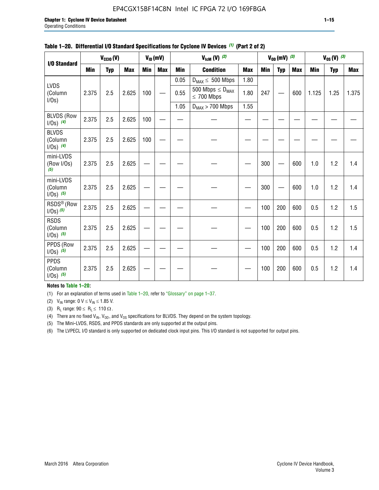#### EP4CGX15BF14C8N Intel IC FPGA 72 I/O 169FBGA

|                                          |            | $V_{\text{CCIO}}(V)$ |            |     | $V_{ID}(mV)$ |            | $V_{\text{ICM}}(V)$ (2)                    |            |            | $V_{OD}$ (mV) $(3)$ |            |            | $V_{0S} (V)$ (3) |            |
|------------------------------------------|------------|----------------------|------------|-----|--------------|------------|--------------------------------------------|------------|------------|---------------------|------------|------------|------------------|------------|
| I/O Standard                             | <b>Min</b> | <b>Typ</b>           | <b>Max</b> | Min | <b>Max</b>   | <b>Min</b> | <b>Condition</b>                           | <b>Max</b> | <b>Min</b> | <b>Typ</b>          | <b>Max</b> | <b>Min</b> | <b>Typ</b>       | <b>Max</b> |
|                                          |            |                      |            |     |              | 0.05       | $D_{MAX} \leq 500$ Mbps                    | 1.80       |            |                     |            |            |                  |            |
| <b>LVDS</b><br>(Column<br>$I/Os$ )       | 2.375      | 2.5                  | 2.625      | 100 |              | 0.55       | 500 Mbps $\leq D_{MAX}$<br>$\leq 700$ Mbps | 1.80       | 247        |                     | 600        | 1.125      | 1.25             | 1.375      |
|                                          |            |                      |            |     |              | 1.05       | $D_{MAX}$ > 700 Mbps                       | 1.55       |            |                     |            |            |                  |            |
| <b>BLVDS (Row</b><br>$1/0s)$ (4)         | 2.375      | 2.5                  | 2.625      | 100 |              |            |                                            |            |            |                     |            |            |                  |            |
| <b>BLVDS</b><br>(Column<br>$1/0s)$ (4)   | 2.375      | 2.5                  | 2.625      | 100 |              |            |                                            |            |            |                     |            |            |                  |            |
| mini-LVDS<br>(Row I/Os)<br>(5)           | 2.375      | 2.5                  | 2.625      |     |              |            |                                            |            | 300        |                     | 600        | 1.0        | 1.2              | 1.4        |
| mini-LVDS<br>(Column<br>$1/0s)$ (5)      | 2.375      | 2.5                  | 2.625      |     |              |            |                                            |            | 300        |                     | 600        | 1.0        | 1.2              | 1.4        |
| RSDS <sup>®</sup> (Row<br>$1/0s$ ) $(5)$ | 2.375      | 2.5                  | 2.625      |     |              |            |                                            |            | 100        | 200                 | 600        | 0.5        | 1.2              | 1.5        |
| <b>RSDS</b><br>(Column<br>$1/0s)$ (5)    | 2.375      | 2.5                  | 2.625      |     |              |            |                                            |            | 100        | 200                 | 600        | 0.5        | 1.2              | 1.5        |
| PPDS (Row<br>$1/0s)$ (5)                 | 2.375      | 2.5                  | 2.625      |     |              |            |                                            |            | 100        | 200                 | 600        | 0.5        | 1.2              | 1.4        |
| <b>PPDS</b><br>(Column<br>$1/0s)$ (5)    | 2.375      | 2.5                  | 2.625      |     |              |            |                                            |            | 100        | 200                 | 600        | 0.5        | 1.2              | 1.4        |

#### **Table 1–20. Differential I/O Standard Specifications for Cyclone IV Devices** *(1)* **(Part 2 of 2)**

#### **Notes to Table 1–20:**

(1) For an explanation of terms used in Table 1–20, refer to "Glossary" on page 1–37.

(2)  $V_{IN}$  range: 0  $V \le V_{IN} \le 1.85$  V.

(3) R<sub>L</sub> range:  $90 \le R_L \le 110 \Omega$ .

(4) There are no fixed  $V_{IN}$ ,  $V_{OD}$ , and  $V_{OS}$  specifications for BLVDS. They depend on the system topology.

(5) The Mini-LVDS, RSDS, and PPDS standards are only supported at the output pins.

(6) The LVPECL I/O standard is only supported on dedicated clock input pins. This I/O standard is not supported for output pins.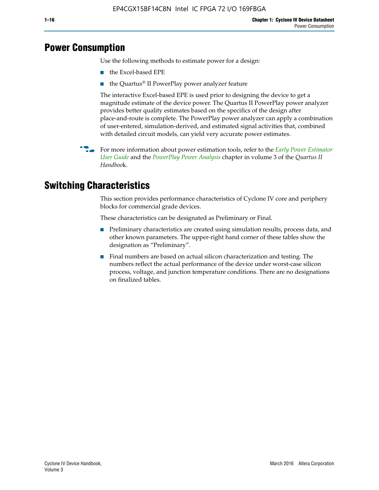# **Power Consumption**

Use the following methods to estimate power for a design:

- the Excel-based EPE
- the Quartus® II PowerPlay power analyzer feature

The interactive Excel-based EPE is used prior to designing the device to get a magnitude estimate of the device power. The Quartus II PowerPlay power analyzer provides better quality estimates based on the specifics of the design after place-and-route is complete. The PowerPlay power analyzer can apply a combination of user-entered, simulation-derived, and estimated signal activities that, combined with detailed circuit models, can yield very accurate power estimates.

f For more information about power estimation tools, refer to the *[Early Power Estimator](http://www.altera.com/literature/ug/ug_epe.pdf
)  [User Guide](http://www.altera.com/literature/ug/ug_epe.pdf
)* and the *[PowerPlay Power Analysis](http://www.altera.com/literature/hb/qts/qts_qii53013.pdf)* chapter in volume 3 of the *Quartus II Handboo*k.

# **Switching Characteristics**

This section provides performance characteristics of Cyclone IV core and periphery blocks for commercial grade devices.

These characteristics can be designated as Preliminary or Final.

- Preliminary characteristics are created using simulation results, process data, and other known parameters. The upper-right hand corner of these tables show the designation as "Preliminary".
- Final numbers are based on actual silicon characterization and testing. The numbers reflect the actual performance of the device under worst-case silicon process, voltage, and junction temperature conditions. There are no designations on finalized tables.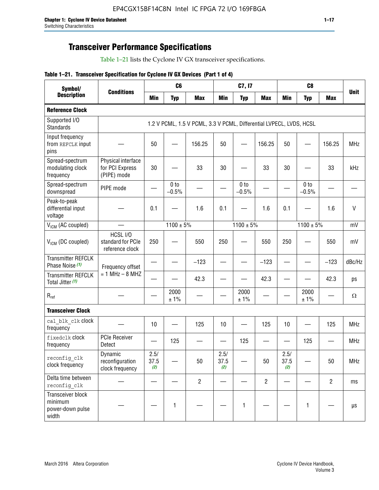# **Transceiver Performance Specifications**

Table 1–21 lists the Cyclone IV GX transceiver specifications.

|  |  |  |  | Table 1-21. Transceiver Specification for Cyclone IV GX Devices (Part 1 of 4) |  |
|--|--|--|--|-------------------------------------------------------------------------------|--|
|--|--|--|--|-------------------------------------------------------------------------------|--|

| Symbol/                                                   | <b>Conditions</b>                                    |                     | C <sub>6</sub>  |                                                                     |                     | C7, I7          |                          |                     | C <sub>8</sub>  |                | <b>Unit</b>  |
|-----------------------------------------------------------|------------------------------------------------------|---------------------|-----------------|---------------------------------------------------------------------|---------------------|-----------------|--------------------------|---------------------|-----------------|----------------|--------------|
| <b>Description</b>                                        |                                                      | Min                 | <b>Typ</b>      | <b>Max</b>                                                          | <b>Min</b>          | <b>Typ</b>      | <b>Max</b>               | <b>Min</b>          | <b>Typ</b>      | <b>Max</b>     |              |
| <b>Reference Clock</b>                                    |                                                      |                     |                 |                                                                     |                     |                 |                          |                     |                 |                |              |
| Supported I/O<br><b>Standards</b>                         |                                                      |                     |                 | 1.2 V PCML, 1.5 V PCML, 3.3 V PCML, Differential LVPECL, LVDS, HCSL |                     |                 |                          |                     |                 |                |              |
| Input frequency<br>from REFCLK input<br>pins              |                                                      | 50                  |                 | 156.25                                                              | 50                  |                 | 156.25                   | 50                  |                 | 156.25         | <b>MHz</b>   |
| Spread-spectrum<br>modulating clock<br>frequency          | Physical interface<br>for PCI Express<br>(PIPE) mode | 30                  |                 | 33                                                                  | 30                  |                 | 33                       | 30                  |                 | 33             | kHz          |
| Spread-spectrum<br>downspread                             | PIPE mode                                            |                     | 0 to<br>$-0.5%$ |                                                                     |                     | 0 to<br>$-0.5%$ | $\overline{\phantom{0}}$ |                     | 0 to<br>$-0.5%$ |                |              |
| Peak-to-peak<br>differential input<br>voltage             |                                                      | 0.1                 |                 | 1.6                                                                 | 0.1                 |                 | 1.6                      | 0.1                 |                 | 1.6            | $\mathsf{V}$ |
| V <sub>ICM</sub> (AC coupled)                             |                                                      |                     | $1100 \pm 5\%$  |                                                                     |                     | $1100 \pm 5\%$  |                          |                     | $1100 \pm 5\%$  |                | mV           |
| $V_{ICM}$ (DC coupled)                                    | HCSL I/O<br>standard for PCIe<br>reference clock     | 250                 |                 | 550                                                                 | 250                 |                 | 550                      | 250                 |                 | 550            | mV           |
| <b>Transmitter REFCLK</b><br>Phase Noise (1)              | Frequency offset                                     |                     |                 | $-123$                                                              |                     |                 | $-123$                   |                     |                 | $-123$         | dBc/Hz       |
| <b>Transmitter REFCLK</b><br>Total Jitter (1)             | $= 1$ MHz $- 8$ MHZ                                  |                     |                 | 42.3                                                                |                     |                 | 42.3                     |                     |                 | 42.3           | ps           |
| $R_{ref}$                                                 |                                                      |                     | 2000<br>±1%     |                                                                     |                     | 2000<br>± 1%    |                          |                     | 2000<br>± 1%    |                | $\Omega$     |
| <b>Transceiver Clock</b>                                  |                                                      |                     |                 |                                                                     |                     |                 |                          |                     |                 |                |              |
| cal blk clk clock<br>frequency                            |                                                      | 10                  |                 | 125                                                                 | 10                  |                 | 125                      | 10                  |                 | 125            | <b>MHz</b>   |
| fixedclk Clock<br>frequency                               | <b>PCIe Receiver</b><br>Detect                       |                     | 125             |                                                                     |                     | 125             |                          |                     | 125             |                | <b>MHz</b>   |
| reconfig_clk<br>clock frequency                           | Dynamic<br>reconfiguration<br>clock frequency        | 2.5/<br>37.5<br>(2) |                 | 50                                                                  | 2.5/<br>37.5<br>(2) |                 | $50\,$                   | 2.5/<br>37.5<br>(2) |                 | 50             | MHz          |
| Delta time between<br>reconfig clk                        |                                                      |                     |                 | $\overline{2}$                                                      |                     |                 | $\overline{2}$           |                     |                 | $\overline{2}$ | ms           |
| Transceiver block<br>minimum<br>power-down pulse<br>width |                                                      |                     | $\mathbf{1}$    |                                                                     |                     | 1               |                          |                     | $\mathbf{1}$    |                | $\mu s$      |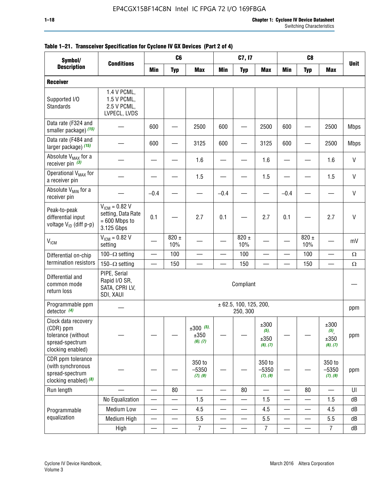| Symbol/                                                                                        | C <sub>8</sub><br>C <sub>6</sub><br>C7, I7<br><b>Conditions</b>           |                          |                          |                                 |                          |                                        |                                     |            |                          |                                  |              |
|------------------------------------------------------------------------------------------------|---------------------------------------------------------------------------|--------------------------|--------------------------|---------------------------------|--------------------------|----------------------------------------|-------------------------------------|------------|--------------------------|----------------------------------|--------------|
| <b>Description</b>                                                                             |                                                                           | Min                      | <b>Typ</b>               | <b>Max</b>                      | <b>Min</b>               | <b>Typ</b>                             | <b>Max</b>                          | <b>Min</b> | <b>Typ</b>               | <b>Max</b>                       | <b>Unit</b>  |
| <b>Receiver</b>                                                                                |                                                                           |                          |                          |                                 |                          |                                        |                                     |            |                          |                                  |              |
| Supported I/O<br><b>Standards</b>                                                              | 1.4 V PCML,<br>1.5 V PCML,<br>2.5 V PCML,<br>LVPECL, LVDS                 |                          |                          |                                 |                          |                                        |                                     |            |                          |                                  |              |
| Data rate (F324 and<br>smaller package) (15)                                                   |                                                                           | 600                      |                          | 2500                            | 600                      |                                        | 2500                                | 600        |                          | 2500                             | <b>Mbps</b>  |
| Data rate (F484 and<br>larger package) (15)                                                    |                                                                           | 600                      |                          | 3125                            | 600                      |                                        | 3125                                | 600        |                          | 2500                             | <b>Mbps</b>  |
| Absolute V <sub>MAX</sub> for a<br>receiver pin $(3)$                                          |                                                                           |                          |                          | 1.6                             |                          |                                        | 1.6                                 |            |                          | 1.6                              | $\mathsf{V}$ |
| Operational V <sub>MAX</sub> for<br>a receiver pin                                             |                                                                           |                          |                          | 1.5                             |                          |                                        | 1.5                                 |            |                          | 1.5                              | V            |
| Absolute V <sub>MIN</sub> for a<br>receiver pin                                                |                                                                           | $-0.4$                   |                          |                                 | $-0.4$                   |                                        |                                     | $-0.4$     |                          |                                  | $\mathsf{V}$ |
| Peak-to-peak<br>differential input<br>voltage V <sub>ID</sub> (diff p-p)                       | $V_{IGM} = 0.82 V$<br>setting, Data Rate<br>$= 600$ Mbps to<br>3.125 Gbps | 0.1                      |                          | 2.7                             | 0.1                      |                                        | 2.7                                 | 0.1        |                          | 2.7                              | V            |
| <b>V<sub>ICM</sub></b>                                                                         | $V_{IGM} = 0.82 V$<br>setting                                             |                          | $820 \pm$<br>10%         |                                 |                          | $820 \pm$<br>10%                       |                                     |            | $820 \pm$<br>10%         |                                  | mV           |
| Differential on-chip                                                                           | 100 $-\Omega$ setting                                                     | $\overline{\phantom{0}}$ | 100                      |                                 |                          | 100                                    |                                     |            | 100                      |                                  | $\Omega$     |
| termination resistors                                                                          | 150 $-\Omega$ setting                                                     |                          | 150                      |                                 |                          | 150                                    |                                     |            | 150                      |                                  | $\Omega$     |
| Differential and<br>common mode<br>return loss                                                 | PIPE, Serial<br>Rapid I/O SR,<br>SATA, CPRI LV,<br>SDI, XAUI              |                          |                          |                                 |                          | Compliant                              |                                     |            |                          |                                  |              |
| Programmable ppm<br>detector $(4)$                                                             |                                                                           |                          |                          |                                 |                          | $\pm$ 62.5, 100, 125, 200,<br>250, 300 |                                     |            |                          |                                  | ppm          |
| Clock data recovery<br>(CDR) ppm<br>tolerance (without<br>spread-spectrum<br>clocking enabled) |                                                                           |                          |                          | $±300$ (5),<br>±350<br>(6), (7) |                          |                                        | ±300<br>$(5)$ ,<br>±350<br>(6), (7) |            |                          | ±300<br>(5),<br>±350<br>(6), (7) | ppm          |
| CDR ppm tolerance<br>(with synchronous<br>spread-spectrum<br>clocking enabled) $(8)$           |                                                                           |                          |                          | 350 to<br>$-5350$<br>(7), (9)   |                          |                                        | 350 to<br>$-5350$<br>(7), (9)       |            |                          | 350 to<br>$-5350$<br>(7), (9)    | ppm          |
| Run length                                                                                     |                                                                           |                          | 80                       | $\overline{\phantom{0}}$        | $\overline{\phantom{0}}$ | 80                                     | $\overline{\phantom{0}}$            | —          | 80                       | $\overline{\phantom{0}}$         | UI           |
|                                                                                                | No Equalization                                                           | $\overline{\phantom{0}}$ | —                        | 1.5                             | $\overline{\phantom{0}}$ | $\overline{\phantom{0}}$               | 1.5                                 | —          | $\overline{\phantom{0}}$ | 1.5                              | dB           |
| Programmable                                                                                   | <b>Medium Low</b>                                                         |                          | —                        | 4.5                             |                          | $\overline{\phantom{0}}$               | 4.5                                 | —          |                          | 4.5                              | dB           |
| equalization                                                                                   | Medium High                                                               | $\overline{\phantom{0}}$ | $\overline{\phantom{0}}$ | 5.5                             | —                        |                                        | 5.5                                 | —          |                          | 5.5                              | dB           |
|                                                                                                | High                                                                      |                          |                          | $\overline{7}$                  |                          |                                        | $\overline{7}$                      |            |                          | $\overline{7}$                   | dB           |

#### **Table 1–21. Transceiver Specification for Cyclone IV GX Devices (Part 2 of 4)**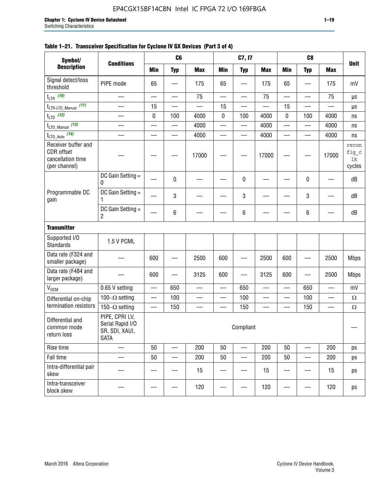| Symbol/                                                                        |                                                                     |                                | C6                       |                          | C7, I7                   |                          |            |                          | C <sub>8</sub>           |                          |                                |
|--------------------------------------------------------------------------------|---------------------------------------------------------------------|--------------------------------|--------------------------|--------------------------|--------------------------|--------------------------|------------|--------------------------|--------------------------|--------------------------|--------------------------------|
| <b>Description</b>                                                             | <b>Conditions</b>                                                   | <b>Min</b>                     | <b>Typ</b>               | <b>Max</b>               | <b>Min</b>               | <b>Typ</b>               | <b>Max</b> | <b>Min</b>               | <b>Typ</b>               | <b>Max</b>               | <b>Unit</b>                    |
| Signal detect/loss<br>threshold                                                | PIPE mode                                                           | 65                             |                          | 175                      | 65                       |                          | 175        | 65                       |                          | 175                      | mV                             |
| $t_{LTR}$ (10)                                                                 | $\overline{\phantom{0}}$                                            |                                | $\overline{\phantom{0}}$ | 75                       | $\overline{\phantom{0}}$ | $\overline{\phantom{0}}$ | 75         | $\overline{\phantom{0}}$ |                          | 75                       | $\mu s$                        |
| (11)<br>tLTR-LTD_Manual                                                        |                                                                     | 15                             |                          |                          | 15                       |                          |            | 15                       |                          |                          | $\mu s$                        |
| $t_{\text{LTD}}$ (12)                                                          |                                                                     | $\pmb{0}$                      | 100                      | 4000                     | $\pmb{0}$                | 100                      | 4000       | 0                        | 100                      | 4000                     | ns                             |
| $t_{\text{LTD\_Manual}}$ (13)                                                  | $\overline{\phantom{0}}$                                            |                                | $\overline{\phantom{0}}$ | 4000                     | $\qquad \qquad$          | —                        | 4000       | $\overline{\phantom{0}}$ | $\overline{\phantom{0}}$ | 4000                     | ns                             |
| $t_{\text{LTD\_Auto}}$ (14)                                                    | $\overline{\phantom{0}}$                                            |                                | $\equiv$                 | 4000                     | $\overline{\phantom{0}}$ | $\overline{\phantom{0}}$ | 4000       | $\overline{\phantom{0}}$ | $\overline{\phantom{0}}$ | 4000                     | ns                             |
| Receiver buffer and<br><b>CDR</b> offset<br>cancellation time<br>(per channel) |                                                                     |                                |                          | 17000                    |                          |                          | 17000      |                          |                          | 17000                    | recon<br>fig_c<br>lk<br>cycles |
|                                                                                | DC Gain Setting =<br>0                                              |                                | 0                        |                          |                          | 0                        |            |                          | 0                        |                          | dB                             |
| Programmable DC<br>gain                                                        | DC Gain Setting =<br>1                                              |                                | 3                        |                          |                          | 3                        |            |                          | 3                        |                          | dB                             |
|                                                                                | DC Gain Setting =<br>$\overline{2}$                                 |                                | 6                        |                          |                          | 6                        |            |                          | 6                        |                          | dB                             |
| <b>Transmitter</b>                                                             |                                                                     |                                |                          |                          |                          |                          |            |                          |                          |                          |                                |
| Supported I/O<br><b>Standards</b>                                              | 1.5 V PCML                                                          |                                |                          |                          |                          |                          |            |                          |                          |                          |                                |
| Data rate (F324 and<br>smaller package)                                        |                                                                     | 600                            |                          | 2500                     | 600                      |                          | 2500       | 600                      |                          | 2500                     | <b>Mbps</b>                    |
| Data rate (F484 and<br>larger package)                                         |                                                                     | 600                            |                          | 3125                     | 600                      |                          | 3125       | 600                      |                          | 2500                     | <b>Mbps</b>                    |
| $V_{OCM}$                                                                      | 0.65 V setting                                                      |                                | 650                      | $\overline{\phantom{0}}$ |                          | 650                      |            |                          | 650                      | $\overline{\phantom{0}}$ | mV                             |
| Differential on-chip                                                           | 100 $-\Omega$ setting                                               | $\qquad \qquad \longleftarrow$ | 100                      | $\overline{\phantom{0}}$ |                          | 100                      |            | —                        | 100                      | —                        | $\Omega$                       |
| termination resistors                                                          | 150 $-\Omega$ setting                                               |                                | 150                      |                          |                          | 150                      |            |                          | 150                      |                          | $\Omega$                       |
| Differential and<br>common mode<br>return loss                                 | PIPE, CPRI LV,<br>Serial Rapid I/O<br>SR, SDI, XAUI,<br><b>SATA</b> |                                |                          |                          |                          | Compliant                |            |                          |                          |                          | —                              |
| Rise time                                                                      |                                                                     | 50                             |                          | 200                      | 50                       |                          | 200        | 50                       |                          | 200                      | ps                             |
| Fall time                                                                      |                                                                     | 50                             |                          | 200                      | 50                       |                          | 200        | 50                       |                          | 200                      | ps                             |
| Intra-differential pair<br>skew                                                |                                                                     |                                |                          | 15                       |                          |                          | 15         |                          |                          | 15                       | ps                             |
| Intra-transceiver<br>block skew                                                |                                                                     |                                |                          | 120                      |                          |                          | 120        |                          |                          | 120                      | ps                             |

#### **Table 1–21. Transceiver Specification for Cyclone IV GX Devices (Part 3 of 4)**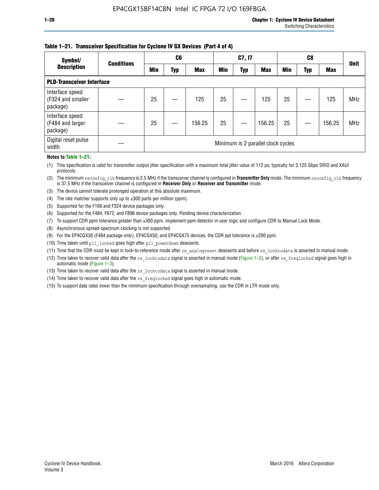#### **Table 1–21. Transceiver Specification for Cyclone IV GX Devices (Part 4 of 4)**

| Symbol/                                          | <b>Conditions</b> | C <sub>6</sub>                     |     |            | C7, I7     |            |            | C8         |     |            | <b>Unit</b> |
|--------------------------------------------------|-------------------|------------------------------------|-----|------------|------------|------------|------------|------------|-----|------------|-------------|
| <b>Description</b>                               |                   | Min                                | Typ | <b>Max</b> | <b>Min</b> | <b>Typ</b> | <b>Max</b> | <b>Min</b> | Typ | <b>Max</b> |             |
| <b>PLD-Transceiver Interface</b>                 |                   |                                    |     |            |            |            |            |            |     |            |             |
| Interface speed<br>(F324 and smaller<br>package) |                   | 25                                 |     | 125        | 25         |            | 125        | 25         |     | 125        | <b>MHz</b>  |
| Interface speed<br>(F484 and larger<br>package)  |                   | 25                                 |     | 156.25     | 25         |            | 156.25     | 25         |     | 156.25     | <b>MHz</b>  |
| Digital reset pulse<br>width                     |                   | Minimum is 2 parallel clock cycles |     |            |            |            |            |            |     |            |             |

#### **Notes to Table 1–21:**

(1) This specification is valid for transmitter output jitter specification with a maximum total jitter value of 112 ps, typically for 3.125 Gbps SRIO and XAUI protocols.

(2) The minimum reconfig\_clk frequency is 2.5 MHz if the transceiver channel is configured in **Transmitter Only** mode. The minimum reconfig\_clk frequency is 37.5 MHz if the transceiver channel is configured in **Receiver Only** or **Receiver and Transmitter** mode.

(3) The device cannot tolerate prolonged operation at this absolute maximum.

- (4) The rate matcher supports only up to  $\pm 300$  parts per million (ppm).
- (5) Supported for the F169 and F324 device packages only.
- (6) Supported for the F484, F672, and F896 device packages only. Pending device characterization.
- (7) To support CDR ppm tolerance greater than ±300 ppm, implement ppm detector in user logic and configure CDR to Manual Lock Mode.
- (8) Asynchronous spread-spectrum clocking is not supported.
- (9) For the EP4CGX30 (F484 package only), EP4CGX50, and EP4CGX75 devices, the CDR ppl tolerance is ±200 ppm.
- (10) Time taken until pll\_locked goes high after pll\_powerdown deasserts.
- (11) Time that the CDR must be kept in lock-to-reference mode after rx analogreset deasserts and before rx locktodata is asserted in manual mode.

(12) Time taken to recover valid data after the rx locktodata signal is asserted in manual mode (Figure 1–2), or after rx freqlocked signal goes high in automatic mode (Figure 1–3).

(13) Time taken to recover valid data after the rx locktodata signal is asserted in manual mode.

- (14) Time taken to recover valid data after the rx freqlocked signal goes high in automatic mode.
- (15) To support data rates lower than the minimum specification through oversampling, use the CDR in LTR mode only.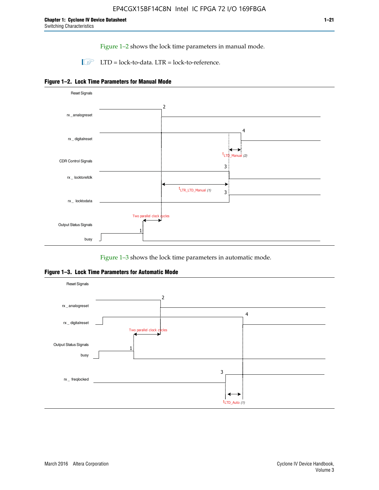Figure 1–2 shows the lock time parameters in manual mode.

 $\Box$  LTD = lock-to-data. LTR = lock-to-reference.





Figure 1–3 shows the lock time parameters in automatic mode.

**Figure 1–3. Lock Time Parameters for Automatic Mode**

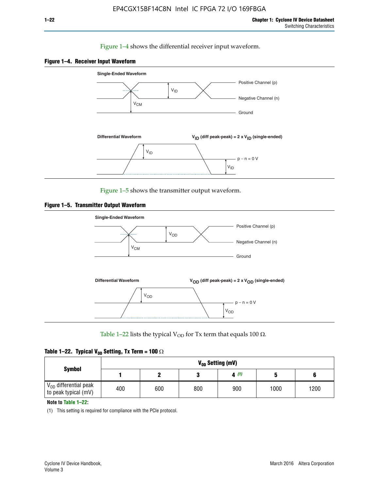#### Figure 1–4 shows the differential receiver input waveform.





Figure 1–5 shows the transmitter output waveform.





Table 1–22 lists the typical V<sub>OD</sub> for Tx term that equals 100  $\Omega$ .

| Table 1–22. Typical V <sub>0D</sub> Setting, Tx Term = 100 $\Omega$ |  |  |  |  |  |  |  |
|---------------------------------------------------------------------|--|--|--|--|--|--|--|
|---------------------------------------------------------------------|--|--|--|--|--|--|--|

|                                                        |     |     |     | V <sub>op</sub> Setting (mV) |      |      |
|--------------------------------------------------------|-----|-----|-----|------------------------------|------|------|
| <b>Symbol</b>                                          |     |     |     | 4(1)                         |      |      |
| $\rm V_{OD}$ differential peak<br>to peak typical (mV) | 400 | 600 | 800 | 900                          | 1000 | 1200 |

**Note to Table 1–22:**

(1) This setting is required for compliance with the PCIe protocol.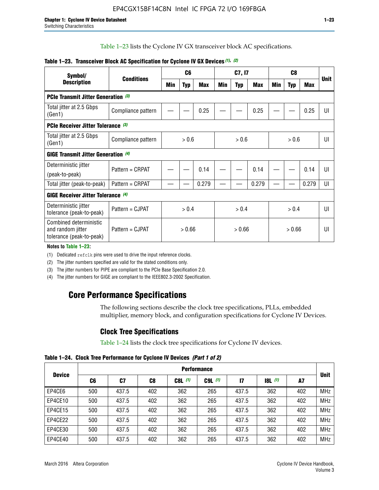Table 1–23 lists the Cyclone IV GX transceiver block AC specifications.

| Symbol/                                                                 |                    |       | C <sub>6</sub> |            |        | C7, I7     |       |       |            |       |             |
|-------------------------------------------------------------------------|--------------------|-------|----------------|------------|--------|------------|-------|-------|------------|-------|-------------|
| <b>Description</b>                                                      | <b>Conditions</b>  | Min   | <b>Typ</b>     | <b>Max</b> | Min    | <b>Typ</b> | Max   | Min   | <b>Typ</b> | Max   | <b>Unit</b> |
| PCIe Transmit Jitter Generation (3)                                     |                    |       |                |            |        |            |       |       |            |       |             |
| Total jitter at 2.5 Gbps<br>(Gen1)                                      | Compliance pattern |       |                | 0.25       |        |            | 0.25  |       |            | 0.25  | UI          |
| PCIe Receiver Jitter Tolerance (3)                                      |                    |       |                |            |        |            |       |       |            |       |             |
| Total jitter at 2.5 Gbps<br>(Gen1)                                      | Compliance pattern | > 0.6 |                |            | > 0.6  |            |       |       | UI         |       |             |
| <b>GIGE Transmit Jitter Generation (4)</b>                              |                    |       |                |            |        |            |       |       |            |       |             |
| Deterministic jitter                                                    | Pattern = CRPAT    |       |                | 0.14       |        |            | 0.14  |       |            | 0.14  | UI          |
| (peak-to-peak)                                                          |                    |       |                |            |        |            |       |       |            |       |             |
| Total jitter (peak-to-peak)                                             | Pattern = CRPAT    |       |                | 0.279      |        |            | 0.279 |       |            | 0.279 | UI          |
| <b>GIGE Receiver Jitter Tolerance (4)</b>                               |                    |       |                |            |        |            |       |       |            |       |             |
| Deterministic jitter<br>tolerance (peak-to-peak)                        | Pattern = CJPAT    | > 0.4 |                |            |        | > 0.4      |       | > 0.4 |            |       | U           |
| Combined deterministic<br>and random jitter<br>tolerance (peak-to-peak) | Pattern = CJPAT    |       | > 0.66         |            | > 0.66 |            |       |       | UI         |       |             |

#### **Table 1–23. Transceiver Block AC Specification for Cyclone IV GX Devices** *(1)***,** *(2)*

**Notes to Table 1–23:**

(1) Dedicated refclk pins were used to drive the input reference clocks.

(2) The jitter numbers specified are valid for the stated conditions only.

(3) The jitter numbers for PIPE are compliant to the PCIe Base Specification 2.0.

(4) The jitter numbers for GIGE are compliant to the IEEE802.3-2002 Specification.

# **Core Performance Specifications**

The following sections describe the clock tree specifications, PLLs, embedded multiplier, memory block, and configuration specifications for Cyclone IV Devices.

### **Clock Tree Specifications**

Table 1–24 lists the clock tree specifications for Cyclone IV devices.

**Table 1–24. Clock Tree Performance for Cyclone IV Devices** *(Part 1 of 2)*

| <b>Device</b> |     | <b>Performance</b> |                |           |             |              |                  |     |             |  |  |  |  |  |  |
|---------------|-----|--------------------|----------------|-----------|-------------|--------------|------------------|-----|-------------|--|--|--|--|--|--|
|               | C6  | C7                 | C <sub>8</sub> | $C8L$ (1) | $C9L$ $(1)$ | $\mathbf{I}$ | <b>18L</b> $(1)$ | A7  | <b>Unit</b> |  |  |  |  |  |  |
| EP4CE6        | 500 | 437.5              | 402            | 362       | 265         | 437.5        | 362              | 402 | <b>MHz</b>  |  |  |  |  |  |  |
| EP4CE10       | 500 | 437.5              | 402            | 362       | 265         | 437.5        | 362              | 402 | <b>MHz</b>  |  |  |  |  |  |  |
| EP4CE15       | 500 | 437.5              | 402            | 362       | 265         | 437.5        | 362              | 402 | <b>MHz</b>  |  |  |  |  |  |  |
| EP4CE22       | 500 | 437.5              | 402            | 362       | 265         | 437.5        | 362              | 402 | <b>MHz</b>  |  |  |  |  |  |  |
| EP4CE30       | 500 | 437.5              | 402            | 362       | 265         | 437.5        | 362              | 402 | <b>MHz</b>  |  |  |  |  |  |  |
| EP4CE40       | 500 | 437.5              | 402            | 362       | 265         | 437.5        | 362              | 402 | <b>MHz</b>  |  |  |  |  |  |  |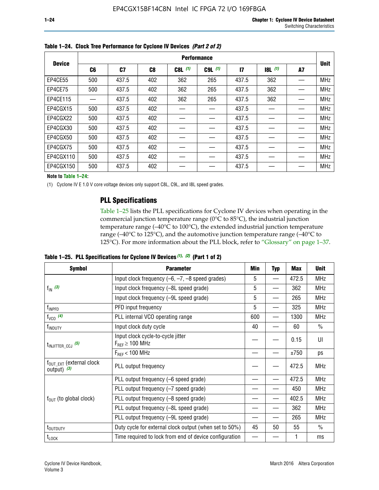|               |                | <b>Performance</b> |     |             |             |              |                  |    |             |  |  |  |  |  |  |
|---------------|----------------|--------------------|-----|-------------|-------------|--------------|------------------|----|-------------|--|--|--|--|--|--|
| <b>Device</b> | C <sub>6</sub> | C7                 | C8  | $C8L$ $(1)$ | $C9L$ $(1)$ | $\mathbf{I}$ | <b>18L</b> $(1)$ | A7 | <b>Unit</b> |  |  |  |  |  |  |
| EP4CE55       | 500            | 437.5              | 402 | 362         | 265         | 437.5        | 362              |    | <b>MHz</b>  |  |  |  |  |  |  |
| EP4CE75       | 500            | 437.5              | 402 | 362         | 265         | 437.5        | 362              |    | <b>MHz</b>  |  |  |  |  |  |  |
| EP4CE115      |                | 437.5              | 402 | 362         | 265         | 437.5        | 362              |    | <b>MHz</b>  |  |  |  |  |  |  |
| EP4CGX15      | 500            | 437.5              | 402 |             |             | 437.5        |                  |    | <b>MHz</b>  |  |  |  |  |  |  |
| EP4CGX22      | 500            | 437.5              | 402 |             |             | 437.5        |                  |    | <b>MHz</b>  |  |  |  |  |  |  |
| EP4CGX30      | 500            | 437.5              | 402 |             |             | 437.5        |                  |    | <b>MHz</b>  |  |  |  |  |  |  |
| EP4CGX50      | 500            | 437.5              | 402 |             |             | 437.5        |                  |    | <b>MHz</b>  |  |  |  |  |  |  |
| EP4CGX75      | 500            | 437.5              | 402 |             |             | 437.5        |                  |    | <b>MHz</b>  |  |  |  |  |  |  |
| EP4CGX110     | 500            | 437.5              | 402 |             |             | 437.5        |                  |    | <b>MHz</b>  |  |  |  |  |  |  |
| EP4CGX150     | 500            | 437.5              | 402 |             |             | 437.5        |                  |    | <b>MHz</b>  |  |  |  |  |  |  |

**Table 1–24. Clock Tree Performance for Cyclone IV Devices** *(Part 2 of 2)*

**Note to Table 1–24:**

(1) Cyclone IV E 1.0 V core voltage devices only support C8L, C9L, and I8L speed grades.

### **PLL Specifications**

Table 1–25 lists the PLL specifications for Cyclone IV devices when operating in the commercial junction temperature range (0°C to 85°C), the industrial junction temperature range (–40°C to 100°C), the extended industrial junction temperature range (–40°C to 125°C), and the automotive junction temperature range (–40°C to 125°C). For more information about the PLL block, refer to "Glossary" on page 1–37.

|  |  | Table 1–25. PLL Specifications for Cyclone IV Devices $(1)$ , $(2)$ (Part 1 of 2) |  |
|--|--|-----------------------------------------------------------------------------------|--|
|--|--|-----------------------------------------------------------------------------------|--|

| <b>Symbol</b>                                          | <b>Parameter</b>                                            | Min      | <b>Typ</b>               | Max   | <b>Unit</b>   |
|--------------------------------------------------------|-------------------------------------------------------------|----------|--------------------------|-------|---------------|
|                                                        | Input clock frequency $(-6, -7, -8)$ speed grades)          | 5        | —                        | 472.5 | <b>MHz</b>    |
| $f_{\text{IN}}$ (3)                                    | Input clock frequency (-8L speed grade)                     | 5        |                          | 362   | <b>MHz</b>    |
|                                                        | Input clock frequency (-9L speed grade)                     | 5        |                          | 265   | <b>MHz</b>    |
| f <sub>INPFD</sub>                                     | PFD input frequency                                         | 5        |                          | 325   | <b>MHz</b>    |
| $f_{VCO}$ (4)                                          | PLL internal VCO operating range                            | 600      | $\overline{\phantom{0}}$ | 1300  | <b>MHz</b>    |
| f <sub>INDUTY</sub>                                    | Input clock duty cycle                                      | 40       |                          | 60    | $\frac{0}{0}$ |
| $t_{\text{INJITTER\_CCJ}}$ (5)                         | Input clock cycle-to-cycle jitter<br>$F_{REF} \geq 100$ MHz |          |                          | 0.15  | UI            |
|                                                        | $F_{RFF}$ < 100 MHz                                         |          |                          | ±750  | ps            |
| $f_{\text{OUT\_EXT}}$ (external clock<br>output) $(3)$ | PLL output frequency                                        |          |                          | 472.5 | <b>MHz</b>    |
|                                                        | PLL output frequency (-6 speed grade)                       |          |                          | 472.5 | <b>MHz</b>    |
|                                                        | PLL output frequency (-7 speed grade)                       |          |                          | 450   | <b>MHz</b>    |
| $f_{OUT}$ (to global clock)                            | PLL output frequency (-8 speed grade)                       |          |                          | 402.5 | <b>MHz</b>    |
|                                                        | PLL output frequency (-8L speed grade)                      |          |                          | 362   | <b>MHz</b>    |
|                                                        | PLL output frequency (-9L speed grade)                      | 45<br>50 |                          | 265   | <b>MHz</b>    |
| t <sub>outputy</sub>                                   | Duty cycle for external clock output (when set to 50%)      |          |                          | 55    | $\frac{0}{0}$ |
| $t_{\text{LOCK}}$                                      | Time required to lock from end of device configuration      |          |                          |       | ms            |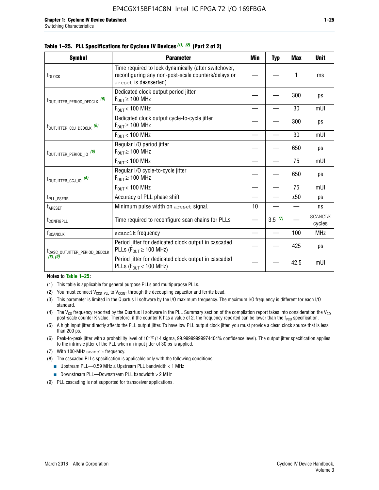| <b>Symbol</b>                             | <b>Parameter</b>                                                                                                                     | Min | Typ    | <b>Max</b> | <b>Unit</b>              |
|-------------------------------------------|--------------------------------------------------------------------------------------------------------------------------------------|-----|--------|------------|--------------------------|
| t <sub>DLOCK</sub>                        | Time required to lock dynamically (after switchover,<br>reconfiguring any non-post-scale counters/delays or<br>areset is deasserted) |     |        |            | ms                       |
| t <sub>outjitter_period_dedclk</sub> (6)  | Dedicated clock output period jitter<br>$F_{OIII} \geq 100$ MHz                                                                      |     |        | 300        | ps                       |
|                                           | $F_{OUT}$ < 100 MHz                                                                                                                  |     |        | 30         | mUI                      |
| t <sub>outjitter_ccj_dedclk</sub> (6)     | Dedicated clock output cycle-to-cycle jitter<br>$F_{OUT} \geq 100$ MHz                                                               |     |        | 300        | ps                       |
|                                           | $F_{OIII}$ < 100 MHz                                                                                                                 |     |        | 30         | mUI                      |
| t <sub>outjitter_period_io</sub> (6)      | Regular I/O period jitter<br>$F_{OUT} \geq 100$ MHz                                                                                  |     |        | 650        | ps                       |
|                                           | $F_{OUT}$ < 100 MHz                                                                                                                  |     |        | 75         | mUI                      |
| t <sub>outjitter_ccj_io</sub> (6)         | Regular I/O cycle-to-cycle jitter<br>$F_{OUT} \ge 100$ MHz                                                                           |     |        | 650        | ps                       |
|                                           | $F_{OIII}$ < 100 MHz                                                                                                                 |     |        | 75         | mUI                      |
| t <sub>PLL_PSERR</sub>                    | Accuracy of PLL phase shift                                                                                                          |     |        | ±50        | ps                       |
| $t_{\scriptsize{\text{ARESET}}}$          | Minimum pulse width on areset signal.                                                                                                | 10  |        |            | ns                       |
| t <sub>configpll</sub>                    | Time required to reconfigure scan chains for PLLs                                                                                    |     | 3.5(7) |            | <b>SCANCLK</b><br>cycles |
| <b>f</b> <sub>SCANCLK</sub>               | scanclk frequency                                                                                                                    |     |        | 100        | <b>MHz</b>               |
| t <sub>CASC_OUTJITTER_PERIOD_DEDCLK</sub> | Period jitter for dedicated clock output in cascaded<br>PLLs ( $F_{OUI} \ge 100$ MHz)                                                |     |        | 425        | ps                       |
| (8), (9)                                  | Period jitter for dedicated clock output in cascaded<br>PLLs ( $F_{OUI}$ < 100 MHz)                                                  |     |        | 42.5       | mUI                      |

#### **Table 1–25. PLL Specifications for Cyclone IV Devices** *(1), (2)* **(Part 2 of 2)**

#### **Notes to Table 1–25:**

- (1) This table is applicable for general purpose PLLs and multipurpose PLLs.
- (2) You must connect  $V_{CCD-PLL}$  to  $V_{CCINT}$  through the decoupling capacitor and ferrite bead.
- (3) This parameter is limited in the Quartus II software by the I/O maximum frequency. The maximum I/O frequency is different for each I/O standard.
- (4) The  $V_{CO}$  frequency reported by the Quartus II software in the PLL Summary section of the compilation report takes into consideration the  $V_{CO}$ post-scale counter K value. Therefore, if the counter K has a value of 2, the frequency reported can be lower than the f<sub>VCO</sub> specification.
- (5) A high input jitter directly affects the PLL output jitter. To have low PLL output clock jitter, you must provide a clean clock source that is less than 200 ps.
- (6) Peak-to-peak jitter with a probability level of 10–12 (14 sigma, 99.99999999974404% confidence level). The output jitter specification applies to the intrinsic jitter of the PLL when an input jitter of 30 ps is applied.
- (7) With 100-MHz scanclk frequency.
- (8) The cascaded PLLs specification is applicable only with the following conditions:
	- **■** Upstream PLL—0.59 MHz  $\leq$  Upstream PLL bandwidth  $<$  1 MHz
	- Downstream PLL—Downstream PLL bandwidth > 2 MHz
- (9) PLL cascading is not supported for transceiver applications.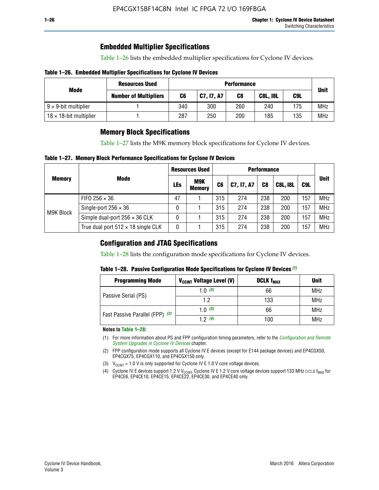# **Embedded Multiplier Specifications**

Table 1–26 lists the embedded multiplier specifications for Cyclone IV devices.

#### **Table 1–26. Embedded Multiplier Specifications for Cyclone IV Devices**

|                                | <b>Resources Used</b>        |     | <b>Performance</b> |     |                 |     |             |  |  |  |  |  |
|--------------------------------|------------------------------|-----|--------------------|-----|-----------------|-----|-------------|--|--|--|--|--|
| Mode                           | <b>Number of Multipliers</b> | C6  | C7, I7, A7         | C8  | <b>C8L, I8L</b> | C9L | <b>Unit</b> |  |  |  |  |  |
| $9 \times 9$ -bit multiplier   |                              | 340 | 300                | 260 | 240             | 175 | <b>MHz</b>  |  |  |  |  |  |
| $18 \times 18$ -bit multiplier |                              | 287 | 250                | 200 | 185             | 135 | <b>MHz</b>  |  |  |  |  |  |

# **Memory Block Specifications**

Table 1–27 lists the M9K memory block specifications for Cyclone IV devices.

#### **Table 1–27. Memory Block Performance Specifications for Cyclone IV Devices**

|               |                                           |     | <b>Resources Used</b>       |                |            |                |                 |     |             |
|---------------|-------------------------------------------|-----|-----------------------------|----------------|------------|----------------|-----------------|-----|-------------|
| <b>Memory</b> | <b>Mode</b>                               | LEs | <b>M9K</b><br><b>Memory</b> | C <sub>6</sub> | C7, I7, A7 | C <sub>8</sub> | <b>C8L, I8L</b> | C9L | <b>Unit</b> |
|               | FIFO 256 $\times$ 36                      | 47  |                             | 315            | 274        | 238            | 200             | 157 | <b>MHz</b>  |
| M9K Block     | Single-port $256 \times 36$               | 0   |                             | 315            | 274        | 238            | 200             | 157 | <b>MHz</b>  |
|               | Simple dual-port $256 \times 36$ CLK      | 0   |                             | 315            | 274        | 238            | 200             | 157 | <b>MHz</b>  |
|               | True dual port $512 \times 18$ single CLK | 0   |                             | 315            | 274        | 238            | 200             | 157 | <b>MHz</b>  |

### **Configuration and JTAG Specifications**

Table 1–28 lists the configuration mode specifications for Cyclone IV devices.

#### **Table 1–28. Passive Configuration Mode Specifications for Cyclone IV Devices** *(1)*

| <b>Programming Mode</b>         | V <sub>CCINT</sub> Voltage Level (V) | <b>DCLK f<sub>MAX</sub></b> | <b>Unit</b> |
|---------------------------------|--------------------------------------|-----------------------------|-------------|
| Passive Serial (PS)             | 1.0 $(3)$                            | 66                          | MHz         |
|                                 | 1.2                                  | 133                         | MHz         |
| Fast Passive Parallel (FPP) (2) | 1.0 $(3)$                            | 66                          | <b>MHz</b>  |
|                                 | 12(4)                                | 100                         | <b>MHz</b>  |

#### **Notes to Table 1–28:**

- (1) For more information about PS and FPP configuration timing parameters, refer to the *[Configuration and Remote](http://www.altera.com/literature/hb/cyclone-iv/cyiv-51008.pdf)  [System Upgrades in Cyclone IV Devices](http://www.altera.com/literature/hb/cyclone-iv/cyiv-51008.pdf)* chapter.
- (2) FPP configuration mode supports all Cyclone IV E devices (except for E144 package devices) and EP4CGX50, EP4CGX75, EP4CGX110, and EP4CGX150 only.
- (3)  $V_{CCMT}$  = 1.0 V is only supported for Cyclone IV E 1.0 V core voltage devices.
- (4) Cyclone IV E devices support 1.2 V V<sub>CCINT</sub>. Cyclone IV E 1.2 V core voltage devices support 133 MHz DCLK f<sub>MAX</sub> for EP4CE6, EP4CE10, EP4CE15, EP4CE22, EP4CE30, and EP4CE40 only.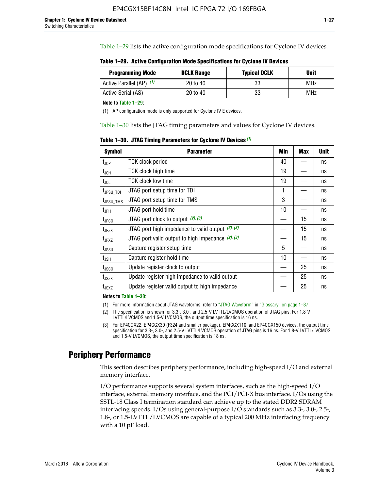Table 1–29 lists the active configuration mode specifications for Cyclone IV devices.

**Table 1–29. Active Configuration Mode Specifications for Cyclone IV Devices**

| <b>Programming Mode</b>  | <b>DCLK Range</b> | <b>Typical DCLK</b> | <b>Unit</b> |
|--------------------------|-------------------|---------------------|-------------|
| Active Parallel (AP) (1) | 20 to 40          | 33                  | MHz         |
| Active Serial (AS)       | 20 to 40          | 33                  | MHz         |

**Note to Table 1–29:**

(1) AP configuration mode is only supported for Cyclone IV E devices.

Table 1–30 lists the JTAG timing parameters and values for Cyclone IV devices.

**Table 1–30. JTAG Timing Parameters for Cyclone IV Devices** *(1)*

| <b>Symbol</b>         | <b>Parameter</b>                                       | Min | <b>Max</b> | <b>Unit</b> |
|-----------------------|--------------------------------------------------------|-----|------------|-------------|
| $t_{JCP}$             | <b>TCK clock period</b>                                | 40  |            | ns          |
| $t_{\rm JCH}$         | TCK clock high time                                    | 19  |            | ns          |
| $t_{JCL}$             | TCK clock low time                                     | 19  |            | ns          |
| t <sub>JPSU_TDI</sub> | JTAG port setup time for TDI                           | 1   |            | ns          |
| t <sub>JPSU_TMS</sub> | JTAG port setup time for TMS                           | 3   |            | ns          |
| t <sub>JPH</sub>      | JTAG port hold time                                    | 10  |            | ns          |
| t <sub>JPCO</sub>     | JTAG port clock to output (2), (3)                     |     | 15         | ns          |
| $t_{JPZX}$            | JTAG port high impedance to valid output $(2)$ , $(3)$ |     | 15         | ns          |
| t <sub>JPXZ</sub>     | JTAG port valid output to high impedance $(2)$ , $(3)$ |     | 15         | ns          |
| $t_{\rm JSSU}$        | Capture register setup time                            | 5   |            | ns          |
| $t_{\mathsf{JSH}}$    | Capture register hold time                             | 10  |            | ns          |
| $t_{\rm JSCO}$        | Update register clock to output                        |     | 25         | ns          |
| $t_{\text{JSZX}}$     | Update register high impedance to valid output         |     | 25         | ns          |
| t <sub>JSXZ</sub>     | Update register valid output to high impedance         |     | 25         | ns          |

**Notes to Table 1–30:**

(1) For more information about JTAG waveforms, refer to "JTAG Waveform" in "Glossary" on page 1–37.

(2) The specification is shown for 3.3-, 3.0-, and 2.5-V LVTTL/LVCMOS operation of JTAG pins. For 1.8-V LVTTL/LVCMOS and 1.5-V LVCMOS, the output time specification is 16 ns.

(3) For EP4CGX22, EP4CGX30 (F324 and smaller package), EP4CGX110, and EP4CGX150 devices, the output time specification for 3.3-, 3.0-, and 2.5-V LVTTL/LVCMOS operation of JTAG pins is 16 ns. For 1.8-V LVTTL/LVCMOS and 1.5-V LVCMOS, the output time specification is 18 ns.

# **Periphery Performance**

This section describes periphery performance, including high-speed I/O and external memory interface.

I/O performance supports several system interfaces, such as the high-speed I/O interface, external memory interface, and the PCI/PCI-X bus interface. I/Os using the SSTL-18 Class I termination standard can achieve up to the stated DDR2 SDRAM interfacing speeds. I/Os using general-purpose I/O standards such as 3.3-, 3.0-, 2.5-, 1.8-, or 1.5-LVTTL/LVCMOS are capable of a typical 200 MHz interfacing frequency with a 10 pF load.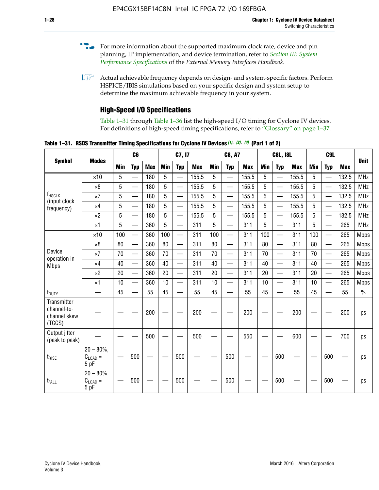- For more information about the supported maximum clock rate, device and pin planning, IP implementation, and device termination, refer to *[Section III: System](http://www.altera.com/literature/hb/external-memory/emi_intro_specs.pdf)  [Performance Specifications](http://www.altera.com/literature/hb/external-memory/emi_intro_specs.pdf)* of the *External Memory Interfaces Handbook*.
- **1 Actual achievable frequency depends on design- and system-specific factors. Perform** HSPICE/IBIS simulations based on your specific design and system setup to determine the maximum achievable frequency in your system.

# **High-Speed I/O Specifications**

Table 1–31 through Table 1–36 list the high-speed I/O timing for Cyclone IV devices. For definitions of high-speed timing specifications, refer to "Glossary" on page 1–37.

**Table 1–31. RSDS Transmitter Timing Specifications for Cyclone IV Devices** *(1)***,** *(2)***,** *(4)* **(Part 1 of 2)**

|                                                      |                                     |            | C6                       |            |            | C7, I7                   |            |                 | <b>C8, A7</b>            |            |            | <b>C8L, I8L</b>          |            | C <sub>9</sub> L |                          |            |             |
|------------------------------------------------------|-------------------------------------|------------|--------------------------|------------|------------|--------------------------|------------|-----------------|--------------------------|------------|------------|--------------------------|------------|------------------|--------------------------|------------|-------------|
| <b>Symbol</b>                                        | <b>Modes</b>                        | <b>Min</b> | <b>Typ</b>               | <b>Max</b> | <b>Min</b> | <b>Typ</b>               | <b>Max</b> | <b>Min</b>      | <b>Typ</b>               | <b>Max</b> | <b>Min</b> | <b>Typ</b>               | <b>Max</b> | Min              | <b>Typ</b>               | <b>Max</b> | <b>Unit</b> |
|                                                      | $\times$ 10                         | 5          | $\overline{\phantom{0}}$ | 180        | 5          | —                        | 155.5      | 5               | $\overline{\phantom{0}}$ | 155.5      | 5          |                          | 155.5      | 5                |                          | 132.5      | <b>MHz</b>  |
|                                                      | $\times 8$                          | 5          |                          | 180        | 5          |                          | 155.5      | $5\phantom{.0}$ | $\overline{\phantom{0}}$ | 155.5      | 5          |                          | 155.5      | 5                |                          | 132.5      | <b>MHz</b>  |
| f <sub>HSCLK</sub><br>(input clock                   | $\times 7$                          | 5          | $\overline{\phantom{0}}$ | 180        | 5          |                          | 155.5      | 5               | $\overline{\phantom{0}}$ | 155.5      | 5          |                          | 155.5      | 5                |                          | 132.5      | <b>MHz</b>  |
| frequency)                                           | $\times$ 4                          | 5          | $\overline{\phantom{0}}$ | 180        | 5          | $\overline{\phantom{0}}$ | 155.5      | 5               | $\equiv$                 | 155.5      | 5          | $\overline{\phantom{0}}$ | 155.5      | 5                | $\overline{\phantom{0}}$ | 132.5      | <b>MHz</b>  |
|                                                      | $\times 2$                          | 5          | $\equiv$                 | 180        | 5          |                          | 155.5      | 5               | $\equiv$                 | 155.5      | 5          | $\equiv$                 | 155.5      | 5                | $\overline{\phantom{0}}$ | 132.5      | <b>MHz</b>  |
|                                                      | $\times$ 1                          | 5          |                          | 360        | 5          |                          | 311        | 5               | $\overline{\phantom{0}}$ | 311        | 5          | $\overline{\phantom{0}}$ | 311        | 5                |                          | 265        | <b>MHz</b>  |
|                                                      | $\times$ 10                         | 100        | $\overline{\phantom{0}}$ | 360        | 100        |                          | 311        | 100             | $\overline{\phantom{0}}$ | 311        | 100        | $\overline{\phantom{0}}$ | 311        | 100              |                          | 265        | <b>Mbps</b> |
|                                                      | $\times 8$                          | 80         |                          | 360        | 80         |                          | 311        | 80              | $\overline{\phantom{0}}$ | 311        | 80         | $\overline{\phantom{0}}$ | 311        | 80               | $\overline{\phantom{0}}$ | 265        | <b>Mbps</b> |
| Device<br>operation in                               | $\times 7$                          | 70         | $\overline{\phantom{0}}$ | 360        | 70         |                          | 311        | 70              | $\overline{\phantom{0}}$ | 311        | 70         | $\overline{\phantom{0}}$ | 311        | 70               | $\overline{\phantom{0}}$ | 265        | <b>Mbps</b> |
| <b>Mbps</b>                                          | $\times$ 4                          | 40         |                          | 360        | 40         |                          | 311        | 40              |                          | 311        | 40         | $\overline{\phantom{0}}$ | 311        | 40               | $\overline{\phantom{0}}$ | 265        | <b>Mbps</b> |
|                                                      | $\times 2$                          | 20         |                          | 360        | 20         | $\equiv$                 | 311        | 20              | $\overline{\phantom{0}}$ | 311        | 20         |                          | 311        | 20               | $\equiv$                 | 265        | <b>Mbps</b> |
|                                                      | $\times$ 1                          | 10         |                          | 360        | 10         |                          | 311        | 10              |                          | 311        | 10         | $\overline{\phantom{0}}$ | 311        | 10               | $\overline{\phantom{0}}$ | 265        | <b>Mbps</b> |
| t <sub>DUTY</sub>                                    | —                                   | 45         | $\overline{\phantom{0}}$ | 55         | 45         |                          | 55         | 45              | $\overline{\phantom{0}}$ | 55         | 45         |                          | 55         | 45               |                          | 55         | $\%$        |
| Transmitter<br>channel-to-<br>channel skew<br>(TCCS) |                                     |            |                          | 200        |            |                          | 200        |                 |                          | 200        |            |                          | 200        |                  |                          | 200        | ps          |
| Output jitter<br>(peak to peak)                      |                                     |            |                          | 500        |            |                          | 500        |                 |                          | 550        |            |                          | 600        |                  |                          | 700        | ps          |
| $t_{\text{RISE}}$                                    | $20 - 80\%$<br>$C_{LOAD} =$<br>5 pF |            | 500                      |            |            | 500                      |            |                 | 500                      |            |            | 500                      |            |                  | 500                      |            | ps          |
| t <sub>FALL</sub>                                    | $20 - 80\%$<br>$C_{LOAD} =$<br>5 pF |            | 500                      |            |            | 500                      |            |                 | 500                      |            |            | 500                      |            |                  | 500                      |            | ps          |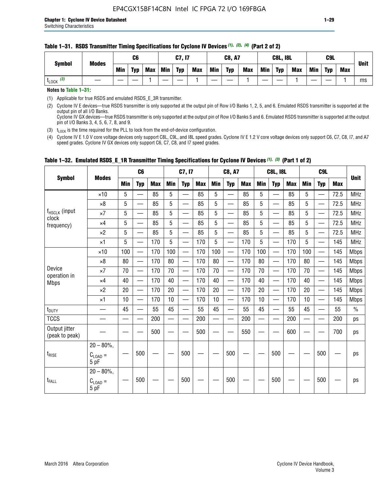#### **Table 1–31. RSDS Transmitter Timing Specifications for Cyclone IV Devices** *(1)***,** *(2)***,** *(4)* **(Part 2 of 2)**

**Notes to Table 1–31:**

(1) Applicable for true RSDS and emulated RSDS\_E\_3R transmitter.

(2) Cyclone IV E devices—true RSDS transmitter is only supported at the output pin of Row I/O Banks 1, 2, 5, and 6. Emulated RSDS transmitter is supported at the output pin of all I/O Banks. Cyclone IV GX devices—true RSDS transmitter is only supported at the output pin of Row I/O Banks 5 and 6. Emulated RSDS transmitter is supported at the output

pin of I/O Banks 3, 4, 5, 6, 7, 8, and 9.

(3)  $t_{\text{LOCK}}$  is the time required for the PLL to lock from the end-of-device configuration.

(4) Cyclone IV E 1.0 V core voltage devices only support C8L, C9L, and I8L speed grades. Cyclone IV E 1.2 V core voltage devices only support C6, C7, C8, I7, and A7 speed grades. Cyclone IV GX devices only support C6, C7, C8, and I7 speed grades.

| <b>Symbol</b>                   |                                              |     | C <sub>6</sub>           |     |     | C7, I7                   |            |            | <b>C8, A7</b>            |     |            | <b>C8L, I8L</b>          |            |     | C <sub>9</sub> L         |            |               |
|---------------------------------|----------------------------------------------|-----|--------------------------|-----|-----|--------------------------|------------|------------|--------------------------|-----|------------|--------------------------|------------|-----|--------------------------|------------|---------------|
|                                 | <b>Modes</b>                                 | Min | <b>Typ</b>               | Max | Min | <b>Typ</b>               | <b>Max</b> | <b>Min</b> | <b>Typ</b>               | Max | <b>Min</b> | <b>Typ</b>               | <b>Max</b> | Min | <b>Typ</b>               | <b>Max</b> | <b>Unit</b>   |
|                                 | $\times$ 10                                  | 5   |                          | 85  | 5   |                          | 85         | 5          |                          | 85  | 5          |                          | 85         | 5   |                          | 72.5       | <b>MHz</b>    |
|                                 | $\times 8$                                   | 5   | —                        | 85  | 5   | —<br>—                   | 85         | 5          | $\qquad \qquad$          | 85  | 5          | —                        | 85         | 5   | —                        | 72.5       | <b>MHz</b>    |
| f <sub>HSCLK</sub> (input       | $\times 7$                                   | 5   | —                        | 85  | 5   |                          | 85         | 5          | $\overline{\phantom{0}}$ | 85  | 5          | —                        | 85         | 5   | —<br>—                   | 72.5       | <b>MHz</b>    |
| clock<br>frequency)             | $\times$ 4                                   | 5   | $\overline{\phantom{0}}$ | 85  | 5   | $\sim$                   | 85         | 5          | $\overline{\phantom{0}}$ | 85  | 5          | $\overline{\phantom{0}}$ | 85         | 5   | $\overline{\phantom{0}}$ | 72.5       | <b>MHz</b>    |
|                                 | $\times 2$                                   | 5   | —                        | 85  | 5   | —                        | 85         | 5          |                          | 85  | 5          | —                        | 85         | 5   | $\hspace{0.05cm}$        | 72.5       | <b>MHz</b>    |
|                                 | $\times$ 1                                   | 5   | $\overline{\phantom{0}}$ | 170 | 5   | $\overline{\phantom{0}}$ | 170        | 5          | $\overline{\phantom{0}}$ | 170 | 5          | $\overline{\phantom{0}}$ | 170        | 5   |                          | 145        | <b>MHz</b>    |
|                                 | $\times$ 10                                  | 100 | $\equiv$                 | 170 | 100 | $\overline{\phantom{0}}$ | 170        | 100        | $\overline{\phantom{0}}$ | 170 | 100        | $\overline{\phantom{0}}$ | 170        | 100 |                          | 145        | <b>Mbps</b>   |
|                                 | $\times 8$                                   | 80  | $\qquad \qquad$          | 170 | 80  | —                        | 170        | 80         | —                        | 170 | 80         | $\overline{\phantom{0}}$ | 170        | 80  |                          | 145        | <b>Mbps</b>   |
| Device                          | $\times 7$                                   | 70  | $\overline{\phantom{0}}$ | 170 | 70  | $\overline{\phantom{0}}$ | 170        | 70         | $\overline{\phantom{0}}$ | 170 | 70         | $\overline{\phantom{0}}$ | 170        | 70  |                          | 145        | <b>Mbps</b>   |
| operation in<br><b>Mbps</b>     | $\times$ 4                                   | 40  | $\qquad \qquad$          | 170 | 40  | —                        | 170        | 40         | $\overline{\phantom{0}}$ | 170 | 40         | $\overline{\phantom{0}}$ | 170        | 40  | —                        | 145        | <b>Mbps</b>   |
|                                 | $\times 2$                                   | 20  | $\overline{\phantom{0}}$ | 170 | 20  | $\overline{\phantom{0}}$ | 170        | 20         | $\overline{\phantom{0}}$ | 170 | 20         |                          | 170        | 20  | $\overline{\phantom{0}}$ | 145        | <b>Mbps</b>   |
|                                 | $\times$ 1                                   | 10  | $\overline{\phantom{0}}$ | 170 | 10  | $\overline{\phantom{0}}$ | 170        | 10         | $\overline{\phantom{0}}$ | 170 | 10         | $\overline{\phantom{0}}$ | 170        | 10  |                          | 145        | <b>Mbps</b>   |
| t <sub>DUTY</sub>               | $\overline{\phantom{0}}$                     | 45  | $\equiv$                 | 55  | 45  | $\sim$                   | 55         | 45         | $\overline{\phantom{0}}$ | 55  | 45         | $\overline{\phantom{0}}$ | 55         | 45  |                          | 55         | $\frac{0}{0}$ |
| <b>TCCS</b>                     |                                              |     |                          | 200 |     |                          | 200        | $\sim$     |                          | 200 |            | <u>—</u>                 | 200        |     |                          | 200        | ps            |
| Output jitter<br>(peak to peak) |                                              |     |                          | 500 |     |                          | 500        |            |                          | 550 |            |                          | 600        |     |                          | 700        | ps            |
| $t_{\text{RISE}}$               | $20 - 80\%$ ,<br>$C_{LOAD} =$<br>5 pF        |     | 500                      |     |     | 500                      |            |            | 500                      |     |            | 500                      |            |     | 500                      |            | ps            |
| t <sub>FALL</sub>               | $20 - 80\%$ ,<br>$C_{\text{LOAD}} =$<br>5 pF |     | 500                      |     |     | 500                      |            |            | 500                      |     |            | 500                      |            |     | 500                      |            | ps            |

### **Table 1–32. Emulated RSDS\_E\_1R Transmitter Timing Specifications for Cyclone IV Devices** *(1), (3)* **(Part 1 of 2)**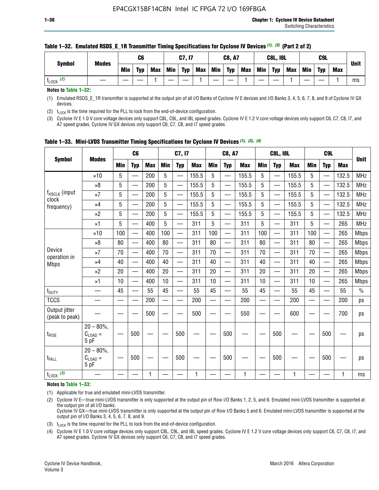| <b>Symbol</b>        | <b>Modes</b> |            | C6         |            |            | C7, I7     |            |     | <b>C8, A7</b> |            |            | <b>C8L, I8L</b> |            |     | C9L        |            |             |
|----------------------|--------------|------------|------------|------------|------------|------------|------------|-----|---------------|------------|------------|-----------------|------------|-----|------------|------------|-------------|
|                      |              | <b>Min</b> | <b>Typ</b> | <b>Max</b> | <b>Min</b> | <b>Typ</b> | <b>Max</b> | Min | <b>Typ</b>    | <b>Max</b> | <b>Min</b> | <b>Typ</b>      | <b>Max</b> | Min | <b>Typ</b> | <b>Max</b> | <b>Unit</b> |
| (2)<br><b>L</b> LOCK |              |            |            |            |            |            |            |     |               |            |            |                 |            |     |            |            | ms          |

#### **Table 1–32. Emulated RSDS\_E\_1R Transmitter Timing Specifications for Cyclone IV Devices** *(1), (3)* **(Part 2 of 2)**

**Notes to Table 1–32:**

(1) Emulated RSDS\_E\_1R transmitter is supported at the output pin of all I/O Banks of Cyclone IV E devices and I/O Banks 3, 4, 5, 6, 7, 8, and 9 of Cyclone IV GX devices.

(2)  $t_{\text{LOCK}}$  is the time required for the PLL to lock from the end-of-device configuration.

(3) Cyclone IV E 1.0 V core voltage devices only support C8L, C9L, and I8L speed grades. Cyclone IV E 1.2 V core voltage devices only support C6, C7, C8, I7, and A7 speed grades. Cyclone IV GX devices only support C6, C7, C8, and I7 speed grades.

| <b>Symbol</b>                      |                                              |            | C <sub>6</sub>           |            |            | C7, I7                   |            |            | <b>C8, A7</b>            |              |            | <b>C8L, I8L</b>          |            |            | C <sub>9L</sub>          |            |               |
|------------------------------------|----------------------------------------------|------------|--------------------------|------------|------------|--------------------------|------------|------------|--------------------------|--------------|------------|--------------------------|------------|------------|--------------------------|------------|---------------|
|                                    | <b>Modes</b>                                 | <b>Min</b> | <b>Typ</b>               | <b>Max</b> | <b>Min</b> | <b>Typ</b>               | <b>Max</b> | <b>Min</b> | <b>Typ</b>               | <b>Max</b>   | <b>Min</b> | <b>Typ</b>               | <b>Max</b> | <b>Min</b> | <b>Typ</b>               | <b>Max</b> | <b>Unit</b>   |
|                                    | $\times$ 10                                  | 5          |                          | 200        | 5          | —                        | 155.5      | 5          | $\overline{\phantom{0}}$ | 155.5        | 5          | $\overline{\phantom{0}}$ | 155.5      | 5          |                          | 132.5      | <b>MHz</b>    |
|                                    | $\times 8$                                   | 5          | $\qquad \qquad$          | 200        | 5          | —                        | 155.5      | 5          | $\overline{\phantom{0}}$ | 155.5        | 5          |                          | 155.5      | 5          | —                        | 132.5      | <b>MHz</b>    |
| f <sub>HSCLK</sub> (input<br>clock | $\times 7$                                   | 5          | $\qquad \qquad$          | 200        | 5          | ÷,                       | 155.5      | 5          | $\qquad \qquad$          | 155.5        | 5          | $\qquad \qquad$          | 155.5      | 5          | —                        | 132.5      | <b>MHz</b>    |
| frequency)                         | $\times 4$                                   | 5          | $\overline{\phantom{0}}$ | 200        | 5          | $\overline{\phantom{0}}$ | 155.5      | 5          | $\overline{\phantom{0}}$ | 155.5        | 5          | $\overline{\phantom{0}}$ | 155.5      | 5          | $\overline{\phantom{0}}$ | 132.5      | <b>MHz</b>    |
|                                    | $\times 2$                                   | 5          |                          | 200        | 5          |                          | 155.5      | 5          | —                        | 155.5        | 5          | $\equiv$                 | 155.5      | 5          |                          | 132.5      | <b>MHz</b>    |
|                                    | $\times$ 1                                   | 5          | $\overline{\phantom{0}}$ | 400        | 5          | —                        | 311        | 5          | $\overline{\phantom{0}}$ | 311          | 5          | —                        | 311        | 5          |                          | 265        | <b>MHz</b>    |
|                                    | $\times$ 10                                  | 100        | $\overline{\phantom{0}}$ | 400        | 100        | $\equiv$                 | 311        | 100        | $\overline{\phantom{0}}$ | 311          | 100        | $\qquad \qquad$          | 311        | 100        |                          | 265        | <b>Mbps</b>   |
|                                    | $\times 8$                                   | 80         |                          | 400        | 80         | $\overline{\phantom{0}}$ | 311        | 80         | $\equiv$                 | 311          | 80         | $\equiv$                 | 311        | 80         |                          | 265        | <b>Mbps</b>   |
| Device                             | $\times 7$                                   | 70         |                          | 400        | 70         | $\overline{\phantom{0}}$ | 311        | 70         | $\overline{\phantom{0}}$ | 311          | 70         | $\overline{\phantom{0}}$ | 311        | 70         |                          | 265        | <b>Mbps</b>   |
| operation in<br><b>Mbps</b>        | $\times$ 4                                   | 40         |                          | 400        | 40         |                          | 311        | 40         | $\overline{\phantom{0}}$ | 311          | 40         | $\overline{\phantom{0}}$ | 311        | 40         |                          | 265        | <b>Mbps</b>   |
|                                    | $\times 2$                                   | 20         |                          | 400        | 20         | —                        | 311        | 20         | —                        | 311          | 20         | $\qquad \qquad$          | 311        | 20         | —                        | 265        | <b>Mbps</b>   |
|                                    | $\times$ 1                                   | 10         |                          | 400        | 10         | —                        | 311        | 10         | $\overline{\phantom{0}}$ | 311          | 10         | $\overline{\phantom{0}}$ | 311        | 10         |                          | 265        | <b>Mbps</b>   |
| $t_{\text{DUTY}}$                  | $\overline{\phantom{0}}$                     | 45         |                          | 55         | 45         | $\overline{\phantom{0}}$ | 55         | 45         | $\overline{\phantom{0}}$ | 55           | 45         | —                        | 55         | 45         |                          | 55         | $\frac{0}{0}$ |
| <b>TCCS</b>                        |                                              |            |                          | 200        | $\equiv$   | $\overline{\phantom{0}}$ | 200        |            | $\overline{\phantom{0}}$ | 200          | $\equiv$   | $\overline{\phantom{0}}$ | 200        |            |                          | 200        | ps            |
| Output jitter<br>(peak to peak)    |                                              |            |                          | 500        |            |                          | 500        |            |                          | 550          |            |                          | 600        |            |                          | 700        | ps            |
| $t_{\text{RISE}}$                  | $20 - 80\%$ ,<br>$C_{\text{LOAD}} =$<br>5 pF |            | 500                      |            |            | 500                      |            |            | 500                      |              |            | 500                      |            |            | 500                      |            | ps            |
| t <sub>FALL</sub>                  | $20 - 80\%$<br>$C_{\text{LOAD}} =$<br>5 pF   |            | 500                      |            |            | 500                      |            |            | 500                      |              |            | 500                      |            |            | 500                      |            | ps            |
| $t_{\text{LOCK}}$ (3)              |                                              |            |                          | 1          |            |                          | 1          |            |                          | $\mathbf{1}$ |            |                          | 1          |            |                          |            | ms            |

**Table 1–33. Mini-LVDS Transmitter Timing Specifications for Cyclone IV Devices** *(1)***,** *(2)***,** *(4)*

**Notes to Table 1–33:**

(1) Applicable for true and emulated mini-LVDS transmitter.

(2) Cyclone IV E—true mini-LVDS transmitter is only supported at the output pin of Row I/O Banks 1, 2, 5, and 6. Emulated mini-LVDS transmitter is supported at the output pin of all I/O banks.

Cyclone IV GX—true mini-LVDS transmitter is only supported at the output pin of Row I/O Banks 5 and 6. Emulated mini-LVDS transmitter is supported at the output pin of I/O Banks 3, 4, 5, 6, 7, 8, and 9.

(3)  $t_{\text{LOCK}}$  is the time required for the PLL to lock from the end-of-device configuration.

(4) Cyclone IV E 1.0 V core voltage devices only support C8L, C9L, and I8L speed grades. Cyclone IV E 1.2 V core voltage devices only support C6, C7, C8, I7, and A7 speed grades. Cyclone IV GX devices only support C6, C7, C8, and I7 speed grades.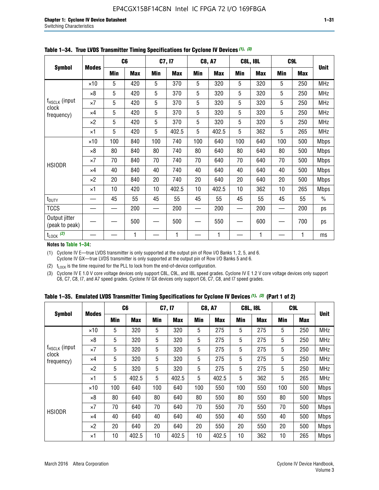|                                 |              |     | C <sub>6</sub> |     | C7, I7     |            | <b>C8, A7</b> |     | <b>C8L, I8L</b> |            | C9L        |               |
|---------------------------------|--------------|-----|----------------|-----|------------|------------|---------------|-----|-----------------|------------|------------|---------------|
| <b>Symbol</b>                   | <b>Modes</b> | Min | <b>Max</b>     | Min | <b>Max</b> | <b>Min</b> | <b>Max</b>    | Min | <b>Max</b>      | <b>Min</b> | <b>Max</b> | <b>Unit</b>   |
|                                 | $\times$ 10  | 5   | 420            | 5   | 370        | 5          | 320           | 5   | 320             | 5          | 250        | <b>MHz</b>    |
|                                 | $\times 8$   | 5   | 420            | 5   | 370        | 5          | 320           | 5   | 320             | 5          | 250        | <b>MHz</b>    |
| f <sub>HSCLK</sub> (input       | $\times 7$   | 5   | 420            | 5   | 370        | 5          | 320           | 5   | 320             | 5          | 250        | <b>MHz</b>    |
| clock<br>frequency)             | $\times$ 4   | 5   | 420            | 5   | 370        | 5          | 320           | 5   | 320             | 5          | 250        | <b>MHz</b>    |
|                                 | $\times 2$   | 5   | 420            | 5   | 370        | 5          | 320           | 5   | 320             | 5          | 250        | <b>MHz</b>    |
|                                 | $\times$ 1   | 5   | 420            | 5   | 402.5      | 5          | 402.5         | 5   | 362             | 5          | 265        | <b>MHz</b>    |
|                                 | $\times$ 10  | 100 | 840            | 100 | 740        | 100        | 640           | 100 | 640             | 100        | 500        | <b>Mbps</b>   |
|                                 | $\times 8$   | 80  | 840            | 80  | 740        | 80         | 640           | 80  | 640             | 80         | 500        | <b>Mbps</b>   |
| <b>HSIODR</b>                   | $\times 7$   | 70  | 840            | 70  | 740        | 70         | 640           | 70  | 640             | 70         | 500        | <b>Mbps</b>   |
|                                 | $\times$ 4   | 40  | 840            | 40  | 740        | 40         | 640           | 40  | 640             | 40         | 500        | <b>Mbps</b>   |
|                                 | $\times 2$   | 20  | 840            | 20  | 740        | 20         | 640           | 20  | 640             | 20         | 500        | <b>Mbps</b>   |
|                                 | $\times$ 1   | 10  | 420            | 10  | 402.5      | 10         | 402.5         | 10  | 362             | 10         | 265        | <b>Mbps</b>   |
| t <sub>DUTY</sub>               |              | 45  | 55             | 45  | 55         | 45         | 55            | 45  | 55              | 45         | 55         | $\frac{0}{0}$ |
| <b>TCCS</b>                     |              |     | 200            |     | 200        |            | 200           |     | 200             |            | 200        | ps            |
| Output jitter<br>(peak to peak) |              |     | 500            |     | 500        |            | 550           |     | 600             |            | 700        | ps            |
| $t_{\text{LOCK}}$ (2)           |              |     | 1              |     | 1          |            | 1             |     | 1               |            | 1          | ms            |

**Table 1–34. True LVDS Transmitter Timing Specifications for Cyclone IV Devices** *(1)***,** *(3)*

**Notes to Table 1–34:**

(1) Cyclone IV E—true LVDS transmitter is only supported at the output pin of Row I/O Banks 1, 2, 5, and 6. Cyclone IV GX—true LVDS transmitter is only supported at the output pin of Row I/O Banks 5 and 6.

(2)  $t_{\text{LOCK}}$  is the time required for the PLL to lock from the end-of-device configuration.

(3) Cyclone IV E 1.0 V core voltage devices only support C8L, C9L, and I8L speed grades. Cyclone IV E 1.2 V core voltage devices only support C6, C7, C8, I7, and A7 speed grades. Cyclone IV GX devices only support C6, C7, C8, and I7 speed grades.

|  |  |  |  |  |  | Table 1–35. Emulated LVDS Transmitter Timing Specifications for Cyclone IV Devices <sup>(1),</sup> <sup>(3)</sup> (Part 1 of 2) |  |  |
|--|--|--|--|--|--|---------------------------------------------------------------------------------------------------------------------------------|--|--|
|--|--|--|--|--|--|---------------------------------------------------------------------------------------------------------------------------------|--|--|

| <b>Symbol</b>               |              | C <sub>6</sub> |            | C7, I7     |            | <b>C8, A7</b> |            | <b>C8L, I8L</b> |            |            | C <sub>9</sub> L |             |
|-----------------------------|--------------|----------------|------------|------------|------------|---------------|------------|-----------------|------------|------------|------------------|-------------|
|                             | <b>Modes</b> | Min            | <b>Max</b> | <b>Min</b> | <b>Max</b> | <b>Min</b>    | <b>Max</b> | <b>Min</b>      | <b>Max</b> | <b>Min</b> | <b>Max</b>       | <b>Unit</b> |
|                             | $\times$ 10  | 5              | 320        | 5          | 320        | 5             | 275        | 5               | 275        | 5          | 250              | <b>MHz</b>  |
|                             | $\times 8$   | 5              | 320        | 5          | 320        | 5             | 275        | 5               | 275        | 5          | 250              | <b>MHz</b>  |
| $f_{HSCLK}$ (input<br>clock | $\times 7$   | 5              | 320        | 5          | 320        | 5             | 275        | 5               | 275        | 5          | 250              | <b>MHz</b>  |
| frequency)                  | $\times$ 4   | 5              | 320        | 5          | 320        | 5             | 275        | 5               | 275        | 5          | 250              | <b>MHz</b>  |
|                             | $\times 2$   | 5              | 320        | 5          | 320        | 5             | 275        | 5               | 275        | 5          | 250              | <b>MHz</b>  |
|                             | $\times$ 1   | 5              | 402.5      | 5          | 402.5      | 5             | 402.5      | 5               | 362        | 5          | 265              | <b>MHz</b>  |
|                             | $\times$ 10  | 100            | 640        | 100        | 640        | 100           | 550        | 100             | 550        | 100        | 500              | <b>Mbps</b> |
|                             | $\times 8$   | 80             | 640        | 80         | 640        | 80            | 550        | 80              | 550        | 80         | 500              | <b>Mbps</b> |
|                             | $\times 7$   | 70             | 640        | 70         | 640        | 70            | 550        | 70              | 550        | 70         | 500              | <b>Mbps</b> |
| <b>HSIODR</b>               | $\times$ 4   | 40             | 640        | 40         | 640        | 40            | 550        | 40              | 550        | 40         | 500              | <b>Mbps</b> |
|                             | $\times 2$   | 20             | 640        | 20         | 640        | 20            | 550        | 20              | 550        | 20         | 500              | <b>Mbps</b> |
|                             | $\times$ 1   | 10             | 402.5      | 10         | 402.5      | 10            | 402.5      | 10              | 362        | 10         | 265              | <b>Mbps</b> |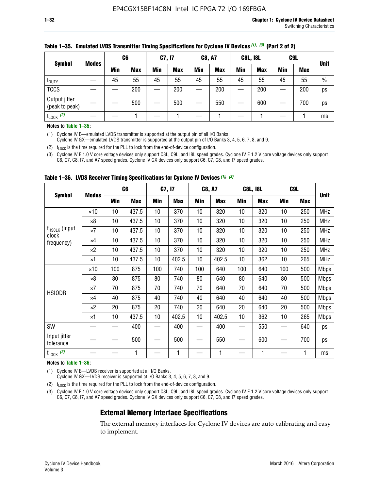| <b>Symbol</b>                   |              | C <sub>6</sub> |            | C7, I7 |            | <b>C8, A7</b> |            | <b>C8L, I8L</b> |            |     | C9L        |               |
|---------------------------------|--------------|----------------|------------|--------|------------|---------------|------------|-----------------|------------|-----|------------|---------------|
|                                 | <b>Modes</b> | Min            | <b>Max</b> | Min    | <b>Max</b> | Min           | <b>Max</b> | Min             | <b>Max</b> | Min | <b>Max</b> | <b>Unit</b>   |
| t <sub>DUTY</sub>               |              | 45             | 55         | 45     | 55         | 45            | 55         | 45              | 55         | 45  | 55         | $\frac{0}{0}$ |
| <b>TCCS</b>                     |              |                | 200        |        | 200        |               | 200        |                 | 200        | —   | 200        | ps            |
| Output jitter<br>(peak to peak) |              |                | 500        |        | 500        |               | 550        |                 | 600        | —   | 700        | ps            |
| $t_{\text{LOCK}}$ (2)           |              |                |            |        |            |               |            |                 |            |     |            | ms            |

#### **Table 1–35. Emulated LVDS Transmitter Timing Specifications for Cyclone IV Devices** *(1)***,** *(3)* **(Part 2 of 2)**

#### **Notes to Table 1–35:**

(1) Cyclone IV E—emulated LVDS transmitter is supported at the output pin of all I/O Banks.

Cyclone IV GX—emulated LVDS transmitter is supported at the output pin of I/O Banks 3, 4, 5, 6, 7, 8, and 9.

(2)  $t_{\text{LOCK}}$  is the time required for the PLL to lock from the end-of-device configuration.

(3) Cyclone IV E 1.0 V core voltage devices only support C8L, C9L, and I8L speed grades. Cyclone IV E 1.2 V core voltage devices only support C6, C7, C8, I7, and A7 speed grades. Cyclone IV GX devices only support C6, C7, C8, and I7 speed grades.

|                                    |              | C <sub>6</sub> |            | C7, I7     |            | <b>C8, A7</b> |            | <b>C8L, I8L</b> |            | C <sub>9</sub> L |            |             |
|------------------------------------|--------------|----------------|------------|------------|------------|---------------|------------|-----------------|------------|------------------|------------|-------------|
| <b>Symbol</b>                      | <b>Modes</b> | Min            | <b>Max</b> | <b>Min</b> | <b>Max</b> | Min           | <b>Max</b> | Min             | <b>Max</b> | Min              | <b>Max</b> | <b>Unit</b> |
|                                    | $\times$ 10  | 10             | 437.5      | 10         | 370        | 10            | 320        | 10              | 320        | 10               | 250        | <b>MHz</b>  |
|                                    | $\times 8$   | 10             | 437.5      | 10         | 370        | 10            | 320        | 10              | 320        | 10               | 250        | <b>MHz</b>  |
| f <sub>HSCLK</sub> (input<br>clock | $\times 7$   | 10             | 437.5      | 10         | 370        | 10            | 320        | 10              | 320        | 10               | 250        | <b>MHz</b>  |
| frequency)                         | ×4           | 10             | 437.5      | 10         | 370        | 10            | 320        | 10              | 320        | 10               | 250        | <b>MHz</b>  |
|                                    | $\times 2$   | 10             | 437.5      | 10         | 370        | 10            | 320        | 10              | 320        | 10               | 250        | <b>MHz</b>  |
|                                    | ×1           | 10             | 437.5      | 10         | 402.5      | 10            | 402.5      | 10              | 362        | 10               | 265        | <b>MHz</b>  |
|                                    | $\times$ 10  | 100            | 875        | 100        | 740        | 100           | 640        | 100             | 640        | 100              | 500        | <b>Mbps</b> |
|                                    | $\times 8$   | 80             | 875        | 80         | 740        | 80            | 640        | 80              | 640        | 80               | 500        | <b>Mbps</b> |
| <b>HSIODR</b>                      | $\times 7$   | 70             | 875        | 70         | 740        | 70            | 640        | 70              | 640        | 70               | 500        | <b>Mbps</b> |
|                                    | $\times 4$   | 40             | 875        | 40         | 740        | 40            | 640        | 40              | 640        | 40               | 500        | <b>Mbps</b> |
|                                    | $\times 2$   | 20             | 875        | 20         | 740        | 20            | 640        | 20              | 640        | 20               | 500        | <b>Mbps</b> |
|                                    | ×1           | 10             | 437.5      | 10         | 402.5      | 10            | 402.5      | 10              | 362        | 10               | 265        | <b>Mbps</b> |
| SW                                 |              |                | 400        |            | 400        |               | 400        |                 | 550        | —                | 640        | ps          |
| Input jitter<br>tolerance          |              |                | 500        |            | 500        |               | 550        |                 | 600        |                  | 700        | ps          |
| $t_{\text{LOCK}}$ (2)              |              |                | 1          |            | 1          |               | 1          |                 | 1          |                  | 1          | ms          |

**Table 1–36. LVDS Receiver Timing Specifications for Cyclone IV Devices** *(1)***,** *(3)*

#### **Notes to Table 1–36:**

(1) Cyclone IV E—LVDS receiver is supported at all I/O Banks.

Cyclone IV GX—LVDS receiver is supported at I/O Banks 3, 4, 5, 6, 7, 8, and 9.

(2)  $t_{\text{LOCK}}$  is the time required for the PLL to lock from the end-of-device configuration.

(3) Cyclone IV E 1.0 V core voltage devices only support C8L, C9L, and I8L speed grades. Cyclone IV E 1.2 V core voltage devices only support C6, C7, C8, I7, and A7 speed grades. Cyclone IV GX devices only support C6, C7, C8, and I7 speed grades.

#### **External Memory Interface Specifications**

The external memory interfaces for Cyclone IV devices are auto-calibrating and easy to implement.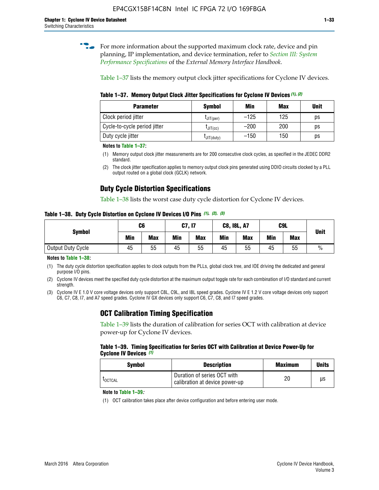**for more information about the supported maximum clock rate, device and pin** planning, IP implementation, and device termination, refer to *[Section III: System](http://www.altera.com/literature/hb/external-memory/emi_intro_specs.pdf)  [Performance Specifications](http://www.altera.com/literature/hb/external-memory/emi_intro_specs.pdf)* of the *External Memory Interface Handbook*.

Table 1–37 lists the memory output clock jitter specifications for Cyclone IV devices.

**Table 1–37. Memory Output Clock Jitter Specifications for Cyclone IV Devices** *(1)***,** *(2)*

| <b>Parameter</b>             | <b>Symbol</b>  | Min    | <b>Max</b> | <b>Unit</b> |
|------------------------------|----------------|--------|------------|-------------|
| Clock period jitter          | $L$ JIT(per)   | $-125$ | 125        | ps          |
| Cycle-to-cycle period jitter | $L$ JIT $(cc)$ | $-200$ | 200        | ps          |
| Duty cycle jitter            | LJIT(duty)     | $-150$ | 150        | рs          |

**Notes to Table 1–37:**

- (1) Memory output clock jitter measurements are for 200 consecutive clock cycles, as specified in the JEDEC DDR2 standard.
- (2) The clock jitter specification applies to memory output clock pins generated using DDIO circuits clocked by a PLL output routed on a global clock (GCLK) network.

# **Duty Cycle Distortion Specifications**

Table 1–38 lists the worst case duty cycle distortion for Cyclone IV devices.

**Table 1–38. Duty Cycle Distortion on Cyclone IV Devices I/O Pins** *(1)***,** *(2), (3)*

| <b>Symbol</b>     | C <sub>6</sub> |            | C7, I7     |            | <b>C8, I8L, A7</b> |            |            | C9L        | <b>Unit</b>   |
|-------------------|----------------|------------|------------|------------|--------------------|------------|------------|------------|---------------|
|                   | Min            | <b>Max</b> | <b>Min</b> | <b>Max</b> | Min                | <b>Max</b> | <b>Min</b> | <b>Max</b> |               |
| Output Duty Cycle | 45             | 55         | 45         | 55         | 45                 | 55         | 45         | 55         | $\frac{0}{0}$ |

**Notes to Table 1–38:**

(1) The duty cycle distortion specification applies to clock outputs from the PLLs, global clock tree, and IOE driving the dedicated and general purpose I/O pins.

(2) Cyclone IV devices meet the specified duty cycle distortion at the maximum output toggle rate for each combination of I/O standard and current strength.

(3) Cyclone IV E 1.0 V core voltage devices only support C8L, C9L, and I8L speed grades. Cyclone IV E 1.2 V core voltage devices only support C6, C7, C8, I7, and A7 speed grades. Cyclone IV GX devices only support C6, C7, C8, and I7 speed grades.

# **OCT Calibration Timing Specification**

Table 1–39 lists the duration of calibration for series OCT with calibration at device power-up for Cyclone IV devices.

#### **Table 1–39. Timing Specification for Series OCT with Calibration at Device Power-Up for Cyclone IV Devices** *(1)*

| Symbol  | <b>Description</b>                                            | <b>Maximum</b> | <b>Units</b> |
|---------|---------------------------------------------------------------|----------------|--------------|
| LOCTCAL | Duration of series OCT with<br>calibration at device power-up | 20             | μs           |

#### **Note to Table 1–39***:*

(1) OCT calibration takes place after device configuration and before entering user mode.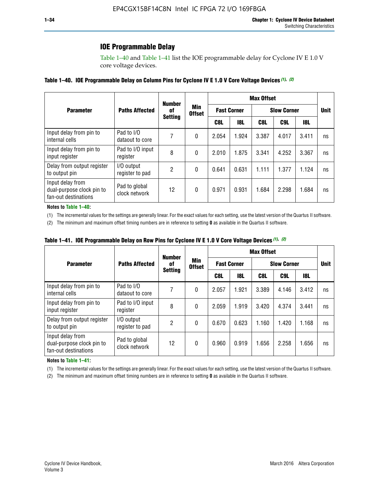# **IOE Programmable Delay**

Table 1–40 and Table 1–41 list the IOE programmable delay for Cyclone IV E 1.0 V core voltage devices.

#### **Table 1–40. IOE Programmable Delay on Column Pins for Cyclone IV E 1.0 V Core Voltage Devices** *(1)***,** *(2)*

|                                                                       |                                | <b>Number</b>  |                      |       |                    | <b>Max Offset</b> |                    |            |             |
|-----------------------------------------------------------------------|--------------------------------|----------------|----------------------|-------|--------------------|-------------------|--------------------|------------|-------------|
| <b>Parameter</b>                                                      | <b>Paths Affected</b>          | 0f             | Min<br><b>Offset</b> |       | <b>Fast Corner</b> |                   | <b>Slow Corner</b> |            | <b>Unit</b> |
|                                                                       |                                | <b>Setting</b> |                      | C8L   | <b>18L</b>         | C8L               | C9L                | <b>18L</b> |             |
| Input delay from pin to<br>internal cells                             | Pad to I/O<br>dataout to core  |                | 0                    | 2.054 | 1.924              | 3.387             | 4.017              | 3.411      | ns          |
| Input delay from pin to<br>input register                             | Pad to I/O input<br>register   | 8              | 0                    | 2.010 | 1.875              | 3.341             | 4.252              | 3.367      | ns          |
| Delay from output register<br>to output pin                           | I/O output<br>register to pad  | 2              | 0                    | 0.641 | 0.631              | 1.111             | 1.377              | 1.124      | ns          |
| Input delay from<br>dual-purpose clock pin to<br>fan-out destinations | Pad to global<br>clock network | 12             | 0                    | 0.971 | 0.931              | 1.684             | 2.298              | 1.684      | ns          |

#### **Notes to Table 1–40:**

(1) The incremental values for the settings are generally linear. For the exact values for each setting, use the latest version of the Quartus II software.

(2) The minimum and maximum offset timing numbers are in reference to setting **0** as available in the Quartus II software.

| Table 1–41. IOE Programmable Delay on Row Pins for Cyclone IV E 1.0 V Core Voltage Devices (1), (2) |  |  |
|-----------------------------------------------------------------------------------------------------|--|--|
|-----------------------------------------------------------------------------------------------------|--|--|

|                                                                       |                                | <b>Number</b>        |                      | <b>Max Offset</b>  |            |                    |       |            |             |
|-----------------------------------------------------------------------|--------------------------------|----------------------|----------------------|--------------------|------------|--------------------|-------|------------|-------------|
| <b>Parameter</b>                                                      | <b>Paths Affected</b>          | 0f<br><b>Setting</b> | Min<br><b>Offset</b> | <b>Fast Corner</b> |            | <b>Slow Corner</b> |       |            | <b>Unit</b> |
|                                                                       |                                |                      |                      | C8L                | <b>18L</b> | C8L                | C9L   | <b>18L</b> |             |
| Input delay from pin to<br>internal cells                             | Pad to I/O<br>dataout to core  |                      | 0                    | 2.057              | 1.921      | 3.389              | 4.146 | 3.412      | ns          |
| Input delay from pin to<br>input register                             | Pad to I/O input<br>register   | 8                    | 0                    | 2.059              | 1.919      | 3.420              | 4.374 | 3.441      | ns          |
| Delay from output register<br>to output pin                           | I/O output<br>register to pad  | 2                    | 0                    | 0.670              | 0.623      | 1.160              | 1.420 | 1.168      | ns          |
| Input delay from<br>dual-purpose clock pin to<br>fan-out destinations | Pad to global<br>clock network | 12                   | 0                    | 0.960              | 0.919      | 1.656              | 2.258 | 1.656      | ns          |

#### **Notes to Table 1–41:**

(1) The incremental values for the settings are generally linear. For the exact values for each setting, use the latest version of the Quartus II software.

(2) The minimum and maximum offset timing numbers are in reference to setting **0** as available in the Quartus II software.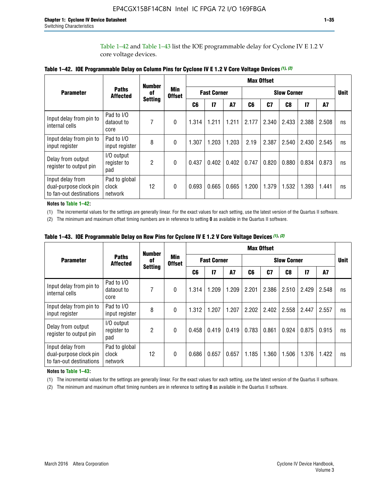Table 1–42 and Table 1–43 list the IOE programmable delay for Cyclone IV E 1.2 V core voltage devices.

|                                                                       |                                   | <b>Number</b>        |                             | <b>Max Offset</b>  |              |           |                    |       |       |               |       |             |
|-----------------------------------------------------------------------|-----------------------------------|----------------------|-----------------------------|--------------------|--------------|-----------|--------------------|-------|-------|---------------|-------|-------------|
| <b>Parameter</b>                                                      | <b>Paths</b><br><b>Affected</b>   | of<br><b>Setting</b> | <b>Min</b><br><b>Offset</b> | <b>Fast Corner</b> |              |           | <b>Slow Corner</b> |       |       |               |       | <b>Unit</b> |
|                                                                       |                                   |                      |                             | C <sub>6</sub>     | $\mathbf{I}$ | <b>A7</b> | C6                 | C7    | C8    | $\mathsf{I}7$ | A7    |             |
| Input delay from pin to<br>internal cells                             | Pad to I/O<br>dataout to<br>core  | 7                    | 0                           | 1.314              | 1.211        | 1.211     | 2.177              | 2.340 | 2.433 | 2.388         | 2.508 | ns          |
| Input delay from pin to<br>input register                             | Pad to I/O<br>input register      | 8                    | $\Omega$                    | 1.307              | 1.203        | 1.203     | 2.19               | 2.387 | 2.540 | 2.430         | 2.545 | ns          |
| Delay from output<br>register to output pin                           | I/O output<br>register to<br>pad  | 2                    | 0                           | 0.437              | 0.402        | 0.402     | 0.747              | 0.820 | 0.880 | 0.834         | 0.873 | ns          |
| Input delay from<br>dual-purpose clock pin<br>to fan-out destinations | Pad to global<br>clock<br>network | 12                   | 0                           | 0.693              | 0.665        | 0.665     | 1.200              | 1.379 | 1.532 | 1.393         | 1.441 | ns          |

**Table 1–42. IOE Programmable Delay on Column Pins for Cyclone IV E 1.2 V Core Voltage Devices** *(1)***,** *(2)*

**Notes to Table 1–42:**

(1) The incremental values for the settings are generally linear. For the exact values for each setting, use the latest version of the Quartus II software.

(2) The minimum and maximum offset timing numbers are in reference to setting **0** as available in the Quartus II software.

|                                                                       |                                   | <b>Number</b>        | <b>Min</b><br><b>Offset</b> |                    | <b>Max Offset</b> |           |                    |       |       |               |       |             |
|-----------------------------------------------------------------------|-----------------------------------|----------------------|-----------------------------|--------------------|-------------------|-----------|--------------------|-------|-------|---------------|-------|-------------|
| <b>Parameter</b>                                                      | <b>Paths</b><br><b>Affected</b>   | 0f<br><b>Setting</b> |                             | <b>Fast Corner</b> |                   |           | <b>Slow Corner</b> |       |       |               |       | <b>Unit</b> |
|                                                                       |                                   |                      |                             | C6                 | $\mathbf{I}$      | <b>A7</b> | C6                 | C7    | C8    | $\mathsf{I}7$ | A7    |             |
| Input delay from pin to<br>internal cells                             | Pad to I/O<br>dataout to<br>core  | 7                    | $\Omega$                    | 1.314              | 1.209             | 1.209     | 2.201              | 2.386 | 2.510 | 2.429         | 2.548 | ns          |
| Input delay from pin to<br>input register                             | Pad to I/O<br>input register      | 8                    | $\Omega$                    | 1.312              | 1.207             | 1.207     | 2.202              | 2.402 | 2.558 | 2.447         | 2.557 | ns          |
| Delay from output<br>register to output pin                           | I/O output<br>register to<br>pad  | 2                    | $\Omega$                    | 0.458              | 0.419             | 0.419     | 0.783              | 0.861 | 0.924 | 0.875         | 0.915 | ns          |
| Input delay from<br>dual-purpose clock pin<br>to fan-out destinations | Pad to global<br>clock<br>network | 12                   | $\Omega$                    | 0.686              | 0.657             | 0.657     | 1.185              | 1.360 | 1.506 | 1.376         | 1.422 | ns          |

**Table 1–43. IOE Programmable Delay on Row Pins for Cyclone IV E 1.2 V Core Voltage Devices** *(1)***,** *(2)*

#### **Notes to Table 1–43:**

(1) The incremental values for the settings are generally linear. For the exact values for each setting, use the latest version of the Quartus II software.

(2) The minimum and maximum offset timing numbers are in reference to setting **0** as available in the Quartus II software.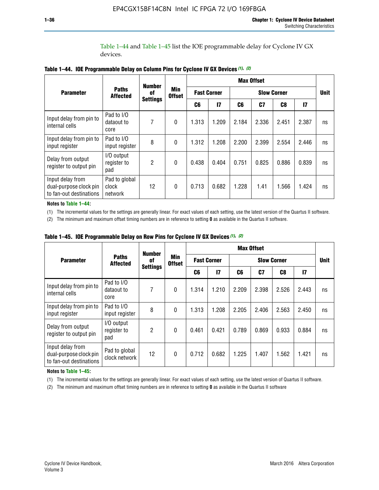Table 1–44 and Table 1–45 list the IOE programmable delay for Cyclone IV GX devices.

|                                                                       |                                   | <b>Number</b>         |                             |                    |              |                    | <b>Max Offset</b> |       |               |             |
|-----------------------------------------------------------------------|-----------------------------------|-----------------------|-----------------------------|--------------------|--------------|--------------------|-------------------|-------|---------------|-------------|
| <b>Parameter</b>                                                      | <b>Paths</b><br><b>Affected</b>   | 0f<br><b>Settings</b> | <b>Min</b><br><b>Offset</b> | <b>Fast Corner</b> |              | <b>Slow Corner</b> |                   |       |               | <b>Unit</b> |
|                                                                       |                                   |                       |                             | C6                 | $\mathbf{I}$ | C6                 | C7                | C8    | $\mathsf{I}7$ |             |
| Input delay from pin to<br>internal cells                             | Pad to I/O<br>dataout to<br>core  | 7                     | $\mathbf{0}$                | 1.313              | 1.209        | 2.184              | 2.336             | 2.451 | 2.387         | ns          |
| Input delay from pin to<br>input register                             | Pad to I/O<br>input register      | 8                     | $\theta$                    | 1.312              | 1.208        | 2.200              | 2.399             | 2.554 | 2.446         | ns          |
| Delay from output<br>register to output pin                           | I/O output<br>register to<br>pad  | 2                     | $\mathbf 0$                 | 0.438              | 0.404        | 0.751              | 0.825             | 0.886 | 0.839         | ns          |
| Input delay from<br>dual-purpose clock pin<br>to fan-out destinations | Pad to global<br>clock<br>network | 12                    | 0                           | 0.713              | 0.682        | 1.228              | 1.41              | 1.566 | 1.424         | ns          |

**Table 1–44. IOE Programmable Delay on Column Pins for Cyclone IV GX Devices** *(1)***,** *(2)*

**Notes to Table 1–44:**

(1) The incremental values for the settings are generally linear. For exact values of each setting, use the latest version of the Quartus II software.

(2) The minimum and maximum offset timing numbers are in reference to setting **0** as available in the Quartus II software.

|                                                                       |                                  | <b>Number</b>         | <b>Min</b><br><b>Offset</b> | <b>Max Offset</b>  |       |                    |       |       |               |             |
|-----------------------------------------------------------------------|----------------------------------|-----------------------|-----------------------------|--------------------|-------|--------------------|-------|-------|---------------|-------------|
| <b>Parameter</b>                                                      | <b>Paths</b><br><b>Affected</b>  | 0f<br><b>Settings</b> |                             | <b>Fast Corner</b> |       | <b>Slow Corner</b> |       |       |               | <b>Unit</b> |
|                                                                       |                                  |                       |                             | C6                 | 17    | C6                 | C7    | C8    | $\mathsf{I}7$ |             |
| Input delay from pin to<br>internal cells                             | Pad to I/O<br>dataout to<br>core | 7                     | $\mathbf{0}$                | 1.314              | 1.210 | 2.209              | 2.398 | 2.526 | 2.443         | ns          |
| Input delay from pin to<br>input register                             | Pad to I/O<br>input register     | 8                     | $\mathbf{0}$                | 1.313              | 1.208 | 2.205              | 2.406 | 2.563 | 2.450         | ns          |
| Delay from output<br>register to output pin                           | I/O output<br>register to<br>pad | $\overline{2}$        | $\mathbf{0}$                | 0.461              | 0.421 | 0.789              | 0.869 | 0.933 | 0.884         | ns          |
| Input delay from<br>dual-purpose clock pin<br>to fan-out destinations | Pad to global<br>clock network   | 12                    | 0                           | 0.712              | 0.682 | 1.225              | 1.407 | 1.562 | 1.421         | ns          |

**Table 1–45. IOE Programmable Delay on Row Pins for Cyclone IV GX Devices** *(1)***,** *(2)*

#### **Notes to Table 1–45:**

(1) The incremental values for the settings are generally linear. For exact values of each setting, use the latest version of Quartus II software.

(2) The minimum and maximum offset timing numbers are in reference to setting **0** as available in the Quartus II software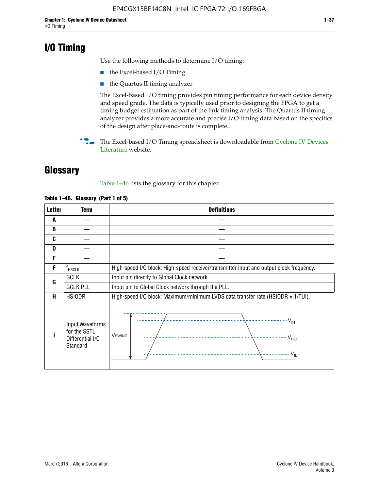# **I/O Timing**

Use the following methods to determine I/O timing:

- the Excel-based I/O Timing
- the Quartus II timing analyzer

The Excel-based I/O timing provides pin timing performance for each device density and speed grade. The data is typically used prior to designing the FPGA to get a timing budget estimation as part of the link timing analysis. The Quartus II timing analyzer provides a more accurate and precise I/O timing data based on the specifics of the design after place-and-route is complete.

**For The Excel-based I/O Timing spreadsheet is downloadable from Cyclone IV Devices** [Literature](http://www.altera.com/literature/lit-cyclone-iv.jsp) website.

# **Glossary**

Table 1–46 lists the glossary for this chapter.

| <b>Letter</b> | <b>Term</b>                                                     | <b>Definitions</b>                                                                                                                               |  |  |  |  |  |
|---------------|-----------------------------------------------------------------|--------------------------------------------------------------------------------------------------------------------------------------------------|--|--|--|--|--|
| A             |                                                                 |                                                                                                                                                  |  |  |  |  |  |
| B             |                                                                 |                                                                                                                                                  |  |  |  |  |  |
| C             |                                                                 |                                                                                                                                                  |  |  |  |  |  |
| D             |                                                                 |                                                                                                                                                  |  |  |  |  |  |
| E             |                                                                 |                                                                                                                                                  |  |  |  |  |  |
| F             | $f_{\sf HSCLK}$                                                 | High-speed I/O block: High-speed receiver/transmitter input and output clock frequency.                                                          |  |  |  |  |  |
| G             | <b>GCLK</b>                                                     | Input pin directly to Global Clock network.                                                                                                      |  |  |  |  |  |
|               | <b>GCLK PLL</b>                                                 | Input pin to Global Clock network through the PLL.                                                                                               |  |  |  |  |  |
| н             | <b>HSIODR</b>                                                   | High-speed I/O block: Maximum/minimum LVDS data transfer rate (HSIODR = 1/TUI).                                                                  |  |  |  |  |  |
|               | Input Waveforms<br>for the SSTL<br>Differential I/O<br>Standard | $\frac{1}{\sqrt{1+\frac{1}{2}}}\left\{ \frac{1}{\sqrt{1+\frac{1}{2}}}\right\}$<br><b>V</b> swing<br>$\cdots$ $V_{REF}$<br>\<br>$\sim V_{\rm IL}$ |  |  |  |  |  |

#### **Table 1–46. Glossary (Part 1 of 5)**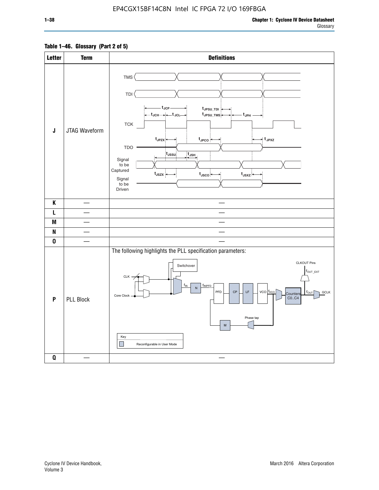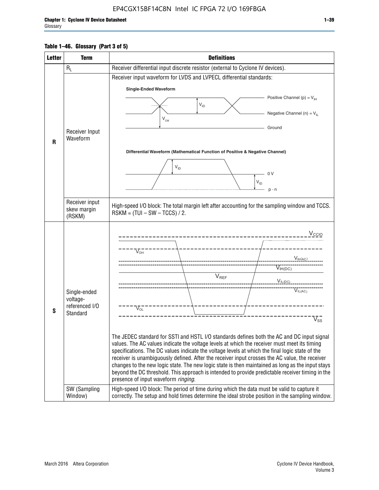#### **Table 1–46. Glossary (Part 3 of 5)**

| <b>Letter</b> | <b>Term</b>                                                            | <b>Definitions</b>                                                                                                                                                                                                                                                                                                                                                                                                                                                                                                                                                                                                                                                                                                                                                                                                                                                                                                                          |  |  |  |  |
|---------------|------------------------------------------------------------------------|---------------------------------------------------------------------------------------------------------------------------------------------------------------------------------------------------------------------------------------------------------------------------------------------------------------------------------------------------------------------------------------------------------------------------------------------------------------------------------------------------------------------------------------------------------------------------------------------------------------------------------------------------------------------------------------------------------------------------------------------------------------------------------------------------------------------------------------------------------------------------------------------------------------------------------------------|--|--|--|--|
|               | $R_L$                                                                  | Receiver differential input discrete resistor (external to Cyclone IV devices).                                                                                                                                                                                                                                                                                                                                                                                                                                                                                                                                                                                                                                                                                                                                                                                                                                                             |  |  |  |  |
|               |                                                                        | Receiver input waveform for LVDS and LVPECL differential standards:                                                                                                                                                                                                                                                                                                                                                                                                                                                                                                                                                                                                                                                                                                                                                                                                                                                                         |  |  |  |  |
|               |                                                                        | <b>Single-Ended Waveform</b>                                                                                                                                                                                                                                                                                                                                                                                                                                                                                                                                                                                                                                                                                                                                                                                                                                                                                                                |  |  |  |  |
|               |                                                                        | Positive Channel (p) = $V_{\text{H}}$                                                                                                                                                                                                                                                                                                                                                                                                                                                                                                                                                                                                                                                                                                                                                                                                                                                                                                       |  |  |  |  |
|               |                                                                        | $\mathsf{V}_{\mathsf{ID}}$                                                                                                                                                                                                                                                                                                                                                                                                                                                                                                                                                                                                                                                                                                                                                                                                                                                                                                                  |  |  |  |  |
|               |                                                                        | Negative Channel (n) = $V_{\parallel}$<br>$\mathsf{V}_{\scriptscriptstyle \mathsf{CM}}$                                                                                                                                                                                                                                                                                                                                                                                                                                                                                                                                                                                                                                                                                                                                                                                                                                                     |  |  |  |  |
|               |                                                                        | Ground                                                                                                                                                                                                                                                                                                                                                                                                                                                                                                                                                                                                                                                                                                                                                                                                                                                                                                                                      |  |  |  |  |
|               | Receiver Input<br>Waveform                                             |                                                                                                                                                                                                                                                                                                                                                                                                                                                                                                                                                                                                                                                                                                                                                                                                                                                                                                                                             |  |  |  |  |
| $\mathbf{R}$  |                                                                        |                                                                                                                                                                                                                                                                                                                                                                                                                                                                                                                                                                                                                                                                                                                                                                                                                                                                                                                                             |  |  |  |  |
|               |                                                                        | Differential Waveform (Mathematical Function of Positive & Negative Channel)                                                                                                                                                                                                                                                                                                                                                                                                                                                                                                                                                                                                                                                                                                                                                                                                                                                                |  |  |  |  |
|               |                                                                        | $V_{ID}$                                                                                                                                                                                                                                                                                                                                                                                                                                                                                                                                                                                                                                                                                                                                                                                                                                                                                                                                    |  |  |  |  |
|               |                                                                        | - 0 V                                                                                                                                                                                                                                                                                                                                                                                                                                                                                                                                                                                                                                                                                                                                                                                                                                                                                                                                       |  |  |  |  |
|               |                                                                        | $V_{ID}$                                                                                                                                                                                                                                                                                                                                                                                                                                                                                                                                                                                                                                                                                                                                                                                                                                                                                                                                    |  |  |  |  |
|               |                                                                        | $p - n$                                                                                                                                                                                                                                                                                                                                                                                                                                                                                                                                                                                                                                                                                                                                                                                                                                                                                                                                     |  |  |  |  |
|               | Receiver input<br>skew margin                                          | High-speed I/O block: The total margin left after accounting for the sampling window and TCCS.<br>$RSKM = (TUI - SW - TCCS) / 2.$                                                                                                                                                                                                                                                                                                                                                                                                                                                                                                                                                                                                                                                                                                                                                                                                           |  |  |  |  |
|               | (RSKM)                                                                 |                                                                                                                                                                                                                                                                                                                                                                                                                                                                                                                                                                                                                                                                                                                                                                                                                                                                                                                                             |  |  |  |  |
| S             | Single-ended<br>voltage-<br>referenced I/O<br>Standard<br>SW (Sampling | V <sub>CCIO</sub><br>$\nabla_{\!\circ\mathsf{H}}^-$<br>V <sub>IH</sub> (AC)<br>$V_{IH(DC)}$<br>$V_{REF}$<br>$V_{I L (DC)}$<br>VIL(AC)<br>$V_{OL}$<br>$\overline{\mathsf{V}}_\mathsf{SS}^-$<br>The JEDEC standard for SSTI and HSTL I/O standards defines both the AC and DC input signal<br>values. The AC values indicate the voltage levels at which the receiver must meet its timing<br>specifications. The DC values indicate the voltage levels at which the final logic state of the<br>receiver is unambiguously defined. After the receiver input crosses the AC value, the receiver<br>changes to the new logic state. The new logic state is then maintained as long as the input stays<br>beyond the DC threshold. This approach is intended to provide predictable receiver timing in the<br>presence of input waveform ringing.<br>High-speed I/O block: The period of time during which the data must be valid to capture it |  |  |  |  |
|               | Window)                                                                | correctly. The setup and hold times determine the ideal strobe position in the sampling window.                                                                                                                                                                                                                                                                                                                                                                                                                                                                                                                                                                                                                                                                                                                                                                                                                                             |  |  |  |  |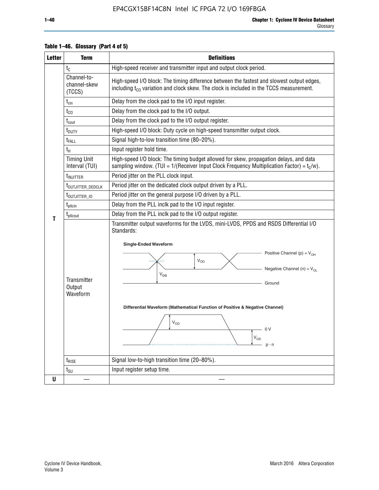| <b>Letter</b> | <b>Term</b>                           | <b>Definitions</b>                                                                                                                                                                                                                                                                                                                                                                      |  |  |  |  |  |  |
|---------------|---------------------------------------|-----------------------------------------------------------------------------------------------------------------------------------------------------------------------------------------------------------------------------------------------------------------------------------------------------------------------------------------------------------------------------------------|--|--|--|--|--|--|
|               | $t_{\rm C}$                           | High-speed receiver and transmitter input and output clock period.                                                                                                                                                                                                                                                                                                                      |  |  |  |  |  |  |
|               | Channel-to-<br>channel-skew<br>(TCCS) | High-speed I/O block: The timing difference between the fastest and slowest output edges,<br>including t <sub>co</sub> variation and clock skew. The clock is included in the TCCS measurement.                                                                                                                                                                                         |  |  |  |  |  |  |
|               | $t_{\text{cin}}$                      | Delay from the clock pad to the I/O input register.                                                                                                                                                                                                                                                                                                                                     |  |  |  |  |  |  |
|               | $t_{CO}$                              | Delay from the clock pad to the I/O output.                                                                                                                                                                                                                                                                                                                                             |  |  |  |  |  |  |
|               | $t_{\text{cout}}$                     | Delay from the clock pad to the I/O output register.                                                                                                                                                                                                                                                                                                                                    |  |  |  |  |  |  |
|               | t <sub>DUTY</sub>                     | High-speed I/O block: Duty cycle on high-speed transmitter output clock.                                                                                                                                                                                                                                                                                                                |  |  |  |  |  |  |
|               | t <sub>FALL</sub>                     | Signal high-to-low transition time (80-20%).                                                                                                                                                                                                                                                                                                                                            |  |  |  |  |  |  |
|               | $t_H$                                 | Input register hold time.                                                                                                                                                                                                                                                                                                                                                               |  |  |  |  |  |  |
|               | <b>Timing Unit</b><br>Interval (TUI)  | High-speed I/O block: The timing budget allowed for skew, propagation delays, and data<br>sampling window. (TUI = $1/($ Receiver Input Clock Frequency Multiplication Factor) = $t_c/w$ ).                                                                                                                                                                                              |  |  |  |  |  |  |
|               | t <sub>INJITTER</sub>                 | Period jitter on the PLL clock input.                                                                                                                                                                                                                                                                                                                                                   |  |  |  |  |  |  |
|               | t <sub>outjitter_dedclk</sub>         | Period jitter on the dedicated clock output driven by a PLL.                                                                                                                                                                                                                                                                                                                            |  |  |  |  |  |  |
|               | t <sub>outjitter_io</sub>             | Period jitter on the general purpose I/O driven by a PLL.                                                                                                                                                                                                                                                                                                                               |  |  |  |  |  |  |
|               | $t_{\text{pllcin}}$                   | Delay from the PLL inclk pad to the I/O input register.                                                                                                                                                                                                                                                                                                                                 |  |  |  |  |  |  |
|               | $t_{\rm plicout}$                     | Delay from the PLL inclk pad to the I/O output register.                                                                                                                                                                                                                                                                                                                                |  |  |  |  |  |  |
| т             | Transmitter<br>Output<br>Waveform     | Transmitter output waveforms for the LVDS, mini-LVDS, PPDS and RSDS Differential I/O<br>Standards:<br><b>Single-Ended Waveform</b><br>Positive Channel (p) = $V_{OH}$<br>VOD<br>Negative Channel (n) = $V_{OL}$<br>$\rm V_{OS}$<br>Ground<br>Differential Waveform (Mathematical Function of Positive & Negative Channel)<br>$\mathsf{V}_{\mathsf{OD}}$<br>- 0 V<br>$V_{OD}$<br>$p - n$ |  |  |  |  |  |  |
|               | $t_{\text{RISE}}$                     | Signal low-to-high transition time (20-80%).                                                                                                                                                                                                                                                                                                                                            |  |  |  |  |  |  |
|               | $t_{\text{SU}}$                       | Input register setup time.                                                                                                                                                                                                                                                                                                                                                              |  |  |  |  |  |  |
| U             |                                       |                                                                                                                                                                                                                                                                                                                                                                                         |  |  |  |  |  |  |

#### **Table 1–46. Glossary (Part 4 of 5)**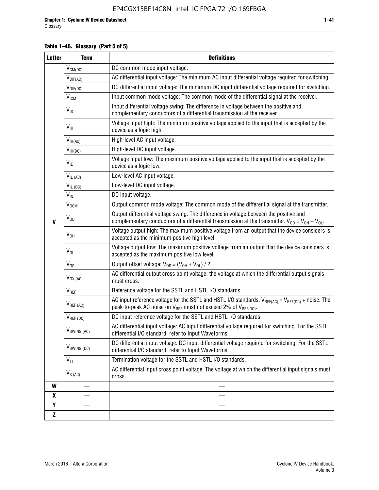#### **Table 1–46. Glossary (Part 5 of 5)**

| <b>Letter</b> | <b>Term</b>             | <b>Definitions</b>                                                                                                                                                                                |  |  |  |  |  |  |  |  |
|---------------|-------------------------|---------------------------------------------------------------------------------------------------------------------------------------------------------------------------------------------------|--|--|--|--|--|--|--|--|
|               | $V_{CM(DC)}$            | DC common mode input voltage.                                                                                                                                                                     |  |  |  |  |  |  |  |  |
|               | $V_{DIF(AC)}$           | AC differential input voltage: The minimum AC input differential voltage required for switching.                                                                                                  |  |  |  |  |  |  |  |  |
|               | $V_{DIF(DC)}$           | DC differential input voltage: The minimum DC input differential voltage required for switching.                                                                                                  |  |  |  |  |  |  |  |  |
|               | <b>V<sub>ICM</sub></b>  | Input common mode voltage: The common mode of the differential signal at the receiver.                                                                                                            |  |  |  |  |  |  |  |  |
|               | $V_{ID}$                | Input differential voltage swing: The difference in voltage between the positive and<br>complementary conductors of a differential transmission at the receiver.                                  |  |  |  |  |  |  |  |  |
|               | $V_{\text{IH}}$         | Voltage input high: The minimum positive voltage applied to the input that is accepted by the<br>device as a logic high.                                                                          |  |  |  |  |  |  |  |  |
|               | $V_{IH(AC)}$            | High-level AC input voltage.                                                                                                                                                                      |  |  |  |  |  |  |  |  |
|               | $V_{IH(DC)}$            | High-level DC input voltage.                                                                                                                                                                      |  |  |  |  |  |  |  |  |
|               | $V_{IL}$                | Voltage input low: The maximum positive voltage applied to the input that is accepted by the<br>device as a logic low.                                                                            |  |  |  |  |  |  |  |  |
|               | $V_{IL(AC)}$            | Low-level AC input voltage.                                                                                                                                                                       |  |  |  |  |  |  |  |  |
|               | $V_{IL(DC)}$            | Low-level DC input voltage.                                                                                                                                                                       |  |  |  |  |  |  |  |  |
|               | $V_{\text{IN}}$         | DC input voltage.                                                                                                                                                                                 |  |  |  |  |  |  |  |  |
|               | $\rm V_{\rm OCM}$       | Output common mode voltage: The common mode of the differential signal at the transmitter.                                                                                                        |  |  |  |  |  |  |  |  |
| $\mathbf{V}$  | $V_{OD}$                | Output differential voltage swing: The difference in voltage between the positive and<br>complementary conductors of a differential transmission at the transmitter. $V_{OD} = V_{OH} - V_{OL}$ . |  |  |  |  |  |  |  |  |
|               | $V_{OH}$                | Voltage output high: The maximum positive voltage from an output that the device considers is<br>accepted as the minimum positive high level.                                                     |  |  |  |  |  |  |  |  |
|               | $V_{OL}$                | Voltage output low: The maximum positive voltage from an output that the device considers is<br>accepted as the maximum positive low level.                                                       |  |  |  |  |  |  |  |  |
|               | $V_{OS}$                | Output offset voltage: $V_{OS} = (V_{OH} + V_{OL}) / 2$ .                                                                                                                                         |  |  |  |  |  |  |  |  |
|               | $V_{OX (AC)}$           | AC differential output cross point voltage: the voltage at which the differential output signals<br>must cross.                                                                                   |  |  |  |  |  |  |  |  |
|               | V <sub>REF</sub>        | Reference voltage for the SSTL and HSTL I/O standards.                                                                                                                                            |  |  |  |  |  |  |  |  |
|               | $V_{REF\,(AC)}$         | AC input reference voltage for the SSTL and HSTL I/O standards. $V_{REF(AC)} = V_{REF(DC)} +$ noise. The<br>peak-to-peak AC noise on $V_{REF}$ must not exceed 2% of $V_{REF(DC)}$ .              |  |  |  |  |  |  |  |  |
|               | $V_{REF(DC)}$           | DC input reference voltage for the SSTL and HSTL I/O standards.                                                                                                                                   |  |  |  |  |  |  |  |  |
|               | $V_{\text{SWING (AC)}}$ | AC differential input voltage: AC input differential voltage required for switching. For the SSTL<br>differential I/O standard, refer to Input Waveforms.                                         |  |  |  |  |  |  |  |  |
|               | $V_{SWING(DC)}$         | DC differential input voltage: DC input differential voltage required for switching. For the SSTL<br>differential I/O standard, refer to Input Waveforms.                                         |  |  |  |  |  |  |  |  |
|               | $V_{TT}$                | Termination voltage for the SSTL and HSTL I/O standards.                                                                                                                                          |  |  |  |  |  |  |  |  |
|               | $V_{X(AC)}$             | AC differential input cross point voltage: The voltage at which the differential input signals must<br>cross.                                                                                     |  |  |  |  |  |  |  |  |
| W             |                         |                                                                                                                                                                                                   |  |  |  |  |  |  |  |  |
| X             |                         |                                                                                                                                                                                                   |  |  |  |  |  |  |  |  |
| Y             |                         |                                                                                                                                                                                                   |  |  |  |  |  |  |  |  |
| $\mathbf{Z}$  |                         |                                                                                                                                                                                                   |  |  |  |  |  |  |  |  |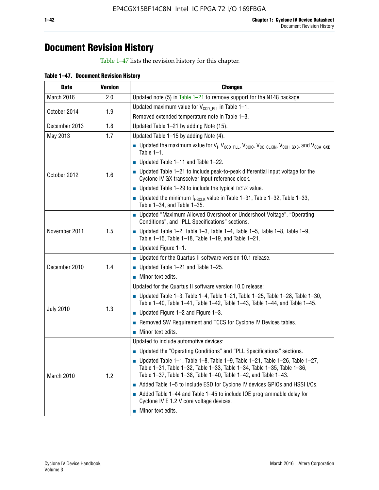# **Document Revision History**

Table 1–47 lists the revision history for this chapter.

| Table 1-47. Document Revision History |  |  |
|---------------------------------------|--|--|
|                                       |  |  |

| <b>Date</b>      | <b>Version</b> | <b>Changes</b>                                                                                                                                                                                                                            |  |  |  |  |
|------------------|----------------|-------------------------------------------------------------------------------------------------------------------------------------------------------------------------------------------------------------------------------------------|--|--|--|--|
| March 2016       | 2.0            | Updated note (5) in Table $1-21$ to remove support for the N148 package.                                                                                                                                                                  |  |  |  |  |
|                  |                | Updated maximum value for $V_{CCD, PL}$ in Table 1-1.                                                                                                                                                                                     |  |  |  |  |
| October 2014     | 1.9            | Removed extended temperature note in Table 1-3.                                                                                                                                                                                           |  |  |  |  |
| December 2013    | 1.8            | Updated Table 1-21 by adding Note (15).                                                                                                                                                                                                   |  |  |  |  |
| May 2013         | 1.7            | Updated Table 1-15 by adding Note (4).                                                                                                                                                                                                    |  |  |  |  |
|                  |                | Dpdated the maximum value for $V_1$ , $V_{CCD\_PLL}$ , $V_{CC10}$ , $V_{CC\_CLKIN}$ , $V_{CCH\_GXB}$ , and $V_{CCA\_GXB}$<br>Table $1-1$ .                                                                                                |  |  |  |  |
|                  | 1.6            | $\blacksquare$ Updated Table 1-11 and Table 1-22.                                                                                                                                                                                         |  |  |  |  |
| October 2012     |                | $\blacksquare$ Updated Table 1-21 to include peak-to-peak differential input voltage for the<br>Cyclone IV GX transceiver input reference clock.                                                                                          |  |  |  |  |
|                  |                | $\blacksquare$ Updated Table 1-29 to include the typical DCLK value.                                                                                                                                                                      |  |  |  |  |
|                  |                | <b>Updated the minimum f<sub>HSCLK</sub></b> value in Table 1-31, Table 1-32, Table 1-33,<br>Table 1-34, and Table 1-35.                                                                                                                  |  |  |  |  |
| November 2011    | 1.5            | • Updated "Maximum Allowed Overshoot or Undershoot Voltage", "Operating<br>Conditions", and "PLL Specifications" sections.                                                                                                                |  |  |  |  |
|                  |                | Updated Table 1-2, Table 1-3, Table 1-4, Table 1-5, Table 1-8, Table 1-9,<br>Table 1-15, Table 1-18, Table 1-19, and Table 1-21.                                                                                                          |  |  |  |  |
|                  |                | ■ Updated Figure $1-1$ .                                                                                                                                                                                                                  |  |  |  |  |
|                  |                | • Updated for the Quartus II software version 10.1 release.                                                                                                                                                                               |  |  |  |  |
| December 2010    | 1.4            | $\blacksquare$ Updated Table 1-21 and Table 1-25.                                                                                                                                                                                         |  |  |  |  |
|                  |                | $\blacksquare$ Minor text edits.                                                                                                                                                                                                          |  |  |  |  |
|                  |                | Updated for the Quartus II software version 10.0 release:                                                                                                                                                                                 |  |  |  |  |
|                  |                | Updated Table 1-3, Table 1-4, Table 1-21, Table 1-25, Table 1-28, Table 1-30,<br>Table 1-40, Table 1-41, Table 1-42, Table 1-43, Table 1-44, and Table 1-45.                                                                              |  |  |  |  |
| <b>July 2010</b> | 1.3            | ■ Updated Figure $1-2$ and Figure $1-3$ .                                                                                                                                                                                                 |  |  |  |  |
|                  |                | Removed SW Requirement and TCCS for Cyclone IV Devices tables.                                                                                                                                                                            |  |  |  |  |
|                  |                | $\blacksquare$ Minor text edits.                                                                                                                                                                                                          |  |  |  |  |
|                  |                | Updated to include automotive devices:                                                                                                                                                                                                    |  |  |  |  |
|                  |                | • Updated the "Operating Conditions" and "PLL Specifications" sections.                                                                                                                                                                   |  |  |  |  |
| March 2010       | 1.2            | $\blacksquare$ Updated Table 1-1, Table 1-8, Table 1-9, Table 1-21, Table 1-26, Table 1-27,<br>Table 1-31, Table 1-32, Table 1-33, Table 1-34, Table 1-35, Table 1-36,<br>Table 1-37, Table 1-38, Table 1-40, Table 1-42, and Table 1-43. |  |  |  |  |
|                  |                | Added Table 1-5 to include ESD for Cyclone IV devices GPIOs and HSSI I/Os.                                                                                                                                                                |  |  |  |  |
|                  |                | Added Table 1-44 and Table 1-45 to include IOE programmable delay for<br>Cyclone IV E 1.2 V core voltage devices.                                                                                                                         |  |  |  |  |
|                  |                | Minor text edits.                                                                                                                                                                                                                         |  |  |  |  |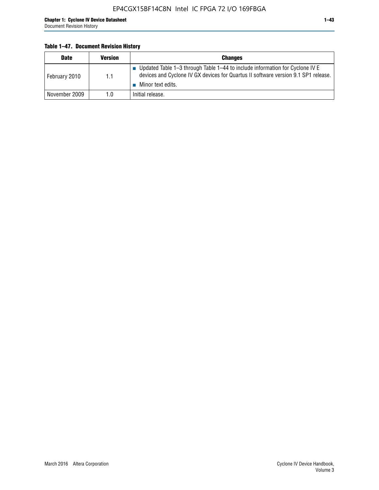#### **Table 1–47. Document Revision History**

| <b>Date</b>   | <b>Version</b> | <b>Changes</b>                                                                                                                                                                          |
|---------------|----------------|-----------------------------------------------------------------------------------------------------------------------------------------------------------------------------------------|
| February 2010 | 1.1            | Updated Table 1-3 through Table 1-44 to include information for Cyclone IV E<br>devices and Cyclone IV GX devices for Quartus II software version 9.1 SP1 release.<br>Minor text edits. |
| November 2009 | 1.0            | Initial release.                                                                                                                                                                        |